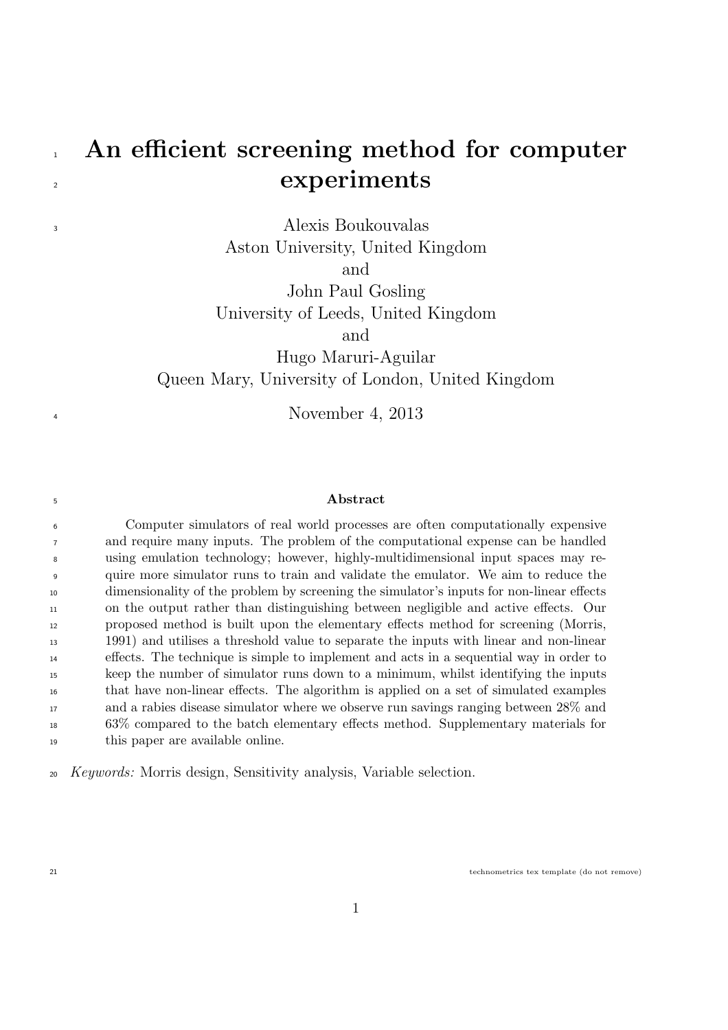# 1 An efficient screening method for computer experiments

Alexis Boukouvalas Aston University, United Kingdom and John Paul Gosling University of Leeds, United Kingdom and

Hugo Maruri-Aguilar Queen Mary, University of London, United Kingdom

November 4, 2013

#### Abstract

 Computer simulators of real world processes are often computationally expensive and require many inputs. The problem of the computational expense can be handled using emulation technology; however, highly-multidimensional input spaces may re- quire more simulator runs to train and validate the emulator. We aim to reduce the dimensionality of the problem by screening the simulator's inputs for non-linear effects on the output rather than distinguishing between negligible and active effects. Our proposed method is built upon the elementary effects method for screening (Morris, 1991) and utilises a threshold value to separate the inputs with linear and non-linear effects. The technique is simple to implement and acts in a sequential way in order to keep the number of simulator runs down to a minimum, whilst identifying the inputs that have non-linear effects. The algorithm is applied on a set of simulated examples and a rabies disease simulator where we observe run savings ranging between 28% and 63% compared to the batch elementary effects method. Supplementary materials for this paper are available online.

Keywords: Morris design, Sensitivity analysis, Variable selection.

technometrics tex template (do not remove)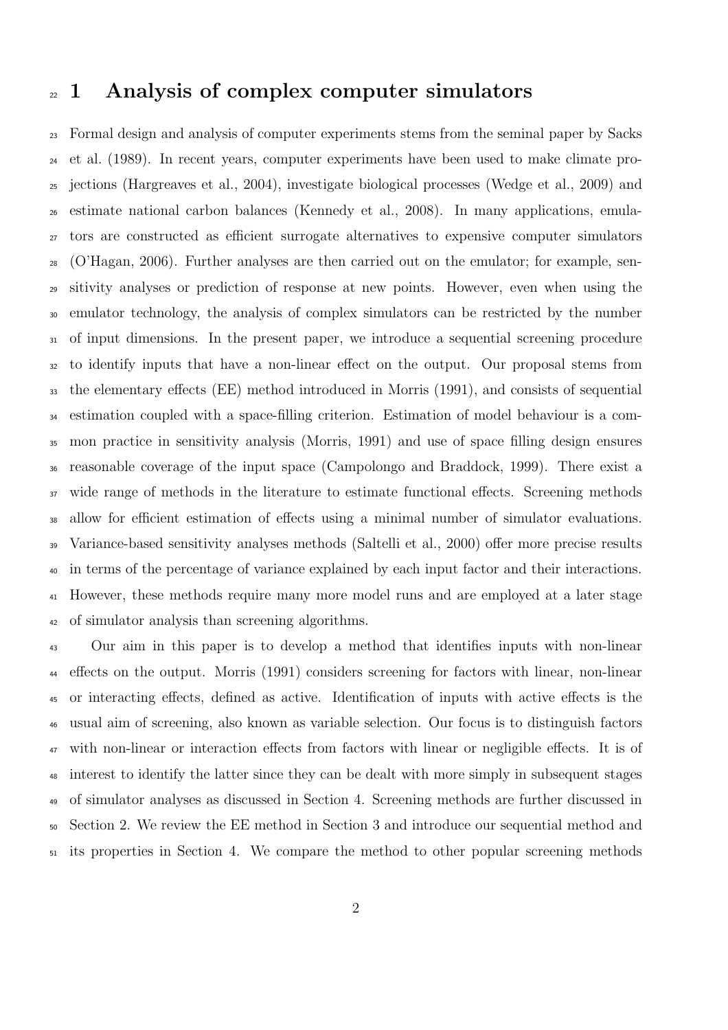### <sup>22</sup> 1 Analysis of complex computer simulators

 Formal design and analysis of computer experiments stems from the seminal paper by Sacks et al. (1989). In recent years, computer experiments have been used to make climate pro- jections (Hargreaves et al., 2004), investigate biological processes (Wedge et al., 2009) and estimate national carbon balances (Kennedy et al., 2008). In many applications, emula- tors are constructed as efficient surrogate alternatives to expensive computer simulators (O'Hagan, 2006). Further analyses are then carried out on the emulator; for example, sen- sitivity analyses or prediction of response at new points. However, even when using the emulator technology, the analysis of complex simulators can be restricted by the number of input dimensions. In the present paper, we introduce a sequential screening procedure to identify inputs that have a non-linear effect on the output. Our proposal stems from the elementary effects (EE) method introduced in Morris (1991), and consists of sequential estimation coupled with a space-filling criterion. Estimation of model behaviour is a com- mon practice in sensitivity analysis (Morris, 1991) and use of space filling design ensures reasonable coverage of the input space (Campolongo and Braddock, 1999). There exist a wide range of methods in the literature to estimate functional effects. Screening methods allow for efficient estimation of effects using a minimal number of simulator evaluations. Variance-based sensitivity analyses methods (Saltelli et al., 2000) offer more precise results in terms of the percentage of variance explained by each input factor and their interactions. However, these methods require many more model runs and are employed at a later stage of simulator analysis than screening algorithms.

 Our aim in this paper is to develop a method that identifies inputs with non-linear effects on the output. Morris (1991) considers screening for factors with linear, non-linear or interacting effects, defined as active. Identification of inputs with active effects is the usual aim of screening, also known as variable selection. Our focus is to distinguish factors with non-linear or interaction effects from factors with linear or negligible effects. It is of interest to identify the latter since they can be dealt with more simply in subsequent stages of simulator analyses as discussed in Section 4. Screening methods are further discussed in Section 2. We review the EE method in Section 3 and introduce our sequential method and its properties in Section 4. We compare the method to other popular screening methods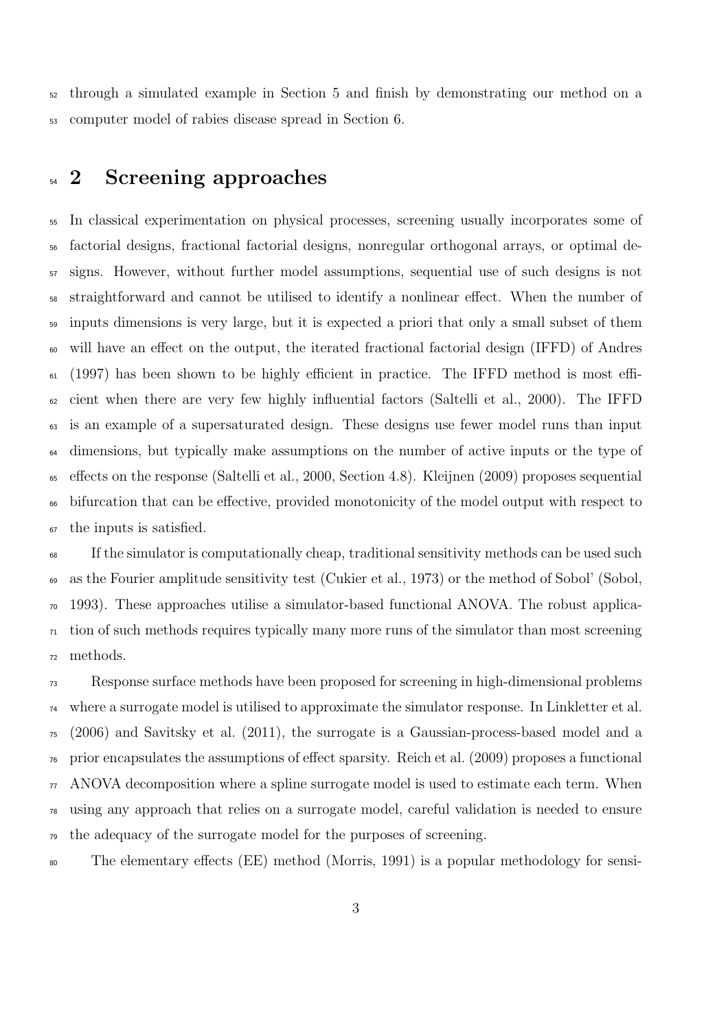through a simulated example in Section 5 and finish by demonstrating our method on a computer model of rabies disease spread in Section 6.

## <sup>54</sup> 2 Screening approaches

 In classical experimentation on physical processes, screening usually incorporates some of factorial designs, fractional factorial designs, nonregular orthogonal arrays, or optimal de- signs. However, without further model assumptions, sequential use of such designs is not straightforward and cannot be utilised to identify a nonlinear effect. When the number of inputs dimensions is very large, but it is expected a priori that only a small subset of them will have an effect on the output, the iterated fractional factorial design (IFFD) of Andres (1997) has been shown to be highly efficient in practice. The IFFD method is most effi- cient when there are very few highly influential factors (Saltelli et al., 2000). The IFFD is an example of a supersaturated design. These designs use fewer model runs than input dimensions, but typically make assumptions on the number of active inputs or the type of effects on the response (Saltelli et al., 2000, Section 4.8). Kleijnen (2009) proposes sequential bifurcation that can be effective, provided monotonicity of the model output with respect to the inputs is satisfied.

 If the simulator is computationally cheap, traditional sensitivity methods can be used such as the Fourier amplitude sensitivity test (Cukier et al., 1973) or the method of Sobol' (Sobol, 1993). These approaches utilise a simulator-based functional ANOVA. The robust applica- tion of such methods requires typically many more runs of the simulator than most screening methods.

 Response surface methods have been proposed for screening in high-dimensional problems where a surrogate model is utilised to approximate the simulator response. In Linkletter et al. (2006) and Savitsky et al. (2011), the surrogate is a Gaussian-process-based model and a prior encapsulates the assumptions of effect sparsity. Reich et al. (2009) proposes a functional ANOVA decomposition where a spline surrogate model is used to estimate each term. When using any approach that relies on a surrogate model, careful validation is needed to ensure the adequacy of the surrogate model for the purposes of screening.

The elementary effects (EE) method (Morris, 1991) is a popular methodology for sensi-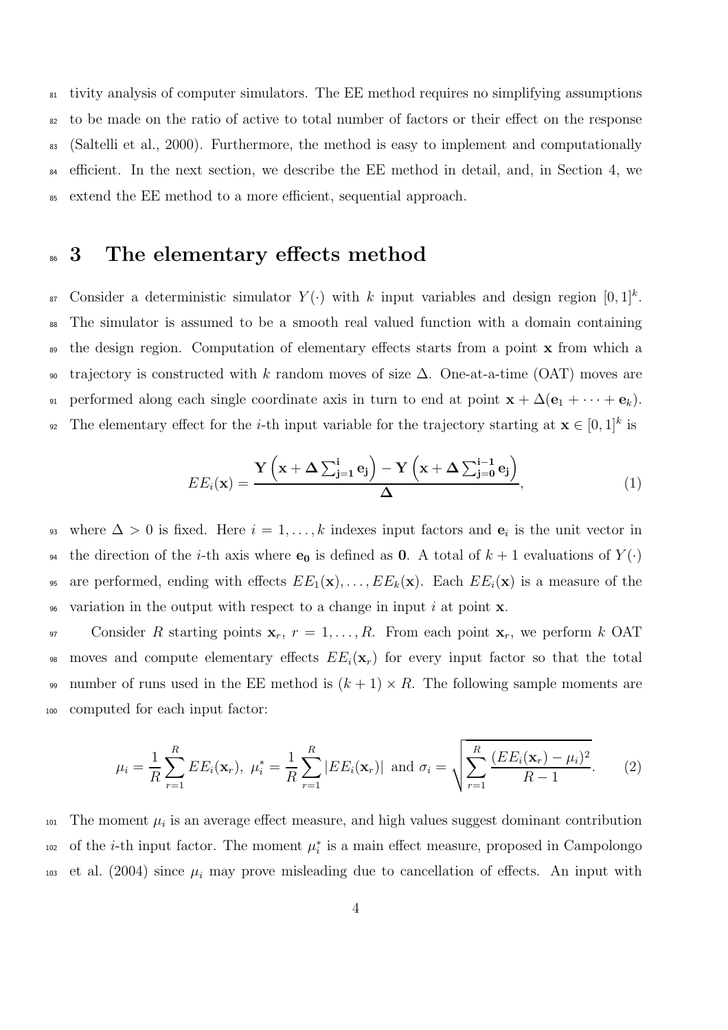tivity analysis of computer simulators. The EE method requires no simplifying assumptions to be made on the ratio of active to total number of factors or their effect on the response (Saltelli et al., 2000). Furthermore, the method is easy to implement and computationally efficient. In the next section, we describe the EE method in detail, and, in Section 4, we extend the EE method to a more efficient, sequential approach.

### <sup>86</sup> 3 The elementary effects method

<sup>87</sup> Consider a deterministic simulator  $Y(\cdot)$  with k input variables and design region  $[0, 1]^k$ . <sup>88</sup> The simulator is assumed to be a smooth real valued function with a domain containing <sub>89</sub> the design region. Computation of elementary effects starts from a point **x** from which a 90 trajectory is constructed with k random moves of size  $\Delta$ . One-at-a-time (OAT) moves are 91 performed along each single coordinate axis in turn to end at point  $\mathbf{x} + \Delta(\mathbf{e}_1 + \cdots + \mathbf{e}_k)$ . <sup>92</sup> The elementary effect for the *i*-th input variable for the trajectory starting at  $\mathbf{x} \in [0,1]^k$  is

$$
EE_i(\mathbf{x}) = \frac{\mathbf{Y}\left(\mathbf{x} + \Delta \sum_{j=1}^{i} \mathbf{e}_j\right) - \mathbf{Y}\left(\mathbf{x} + \Delta \sum_{j=0}^{i-1} \mathbf{e}_j\right)}{\Delta},\tag{1}
$$

<sup>93</sup> where  $\Delta > 0$  is fixed. Here  $i = 1, \ldots, k$  indexes input factors and  $e_i$  is the unit vector in <sup>94</sup> the direction of the *i*-th axis where  $e_0$  is defined as 0. A total of  $k + 1$  evaluations of  $Y(\cdot)$ 95 are performed, ending with effects  $EE_1(\mathbf{x}), \ldots, EE_k(\mathbf{x})$ . Each  $EE_i(\mathbf{x})$  is a measure of the 96 variation in the output with respect to a change in input i at point  $\bf{x}$ .

97 Consider R starting points  $\mathbf{x}_r$ ,  $r = 1, \ldots, R$ . From each point  $\mathbf{x}_r$ , we perform k OAT 98 moves and compute elementary effects  $EE_i(\mathbf{x}_r)$  for every input factor so that the total 99 number of runs used in the EE method is  $(k + 1) \times R$ . The following sample moments are <sup>100</sup> computed for each input factor:

$$
\mu_i = \frac{1}{R} \sum_{r=1}^R EE_i(\mathbf{x}_r), \ \mu_i^* = \frac{1}{R} \sum_{r=1}^R |EE_i(\mathbf{x}_r)| \ \text{and} \ \sigma_i = \sqrt{\sum_{r=1}^R \frac{(EE_i(\mathbf{x}_r) - \mu_i)^2}{R - 1}}.
$$
 (2)

 $\mu_i$  is an average effect measure, and high values suggest dominant contribution of the *i*-th input factor. The moment  $\mu_i^*$ <sup>102</sup> of the *i*-th input factor. The moment  $\mu_i^*$  is a main effect measure, proposed in Campolongo 103 et al. (2004) since  $\mu_i$  may prove misleading due to cancellation of effects. An input with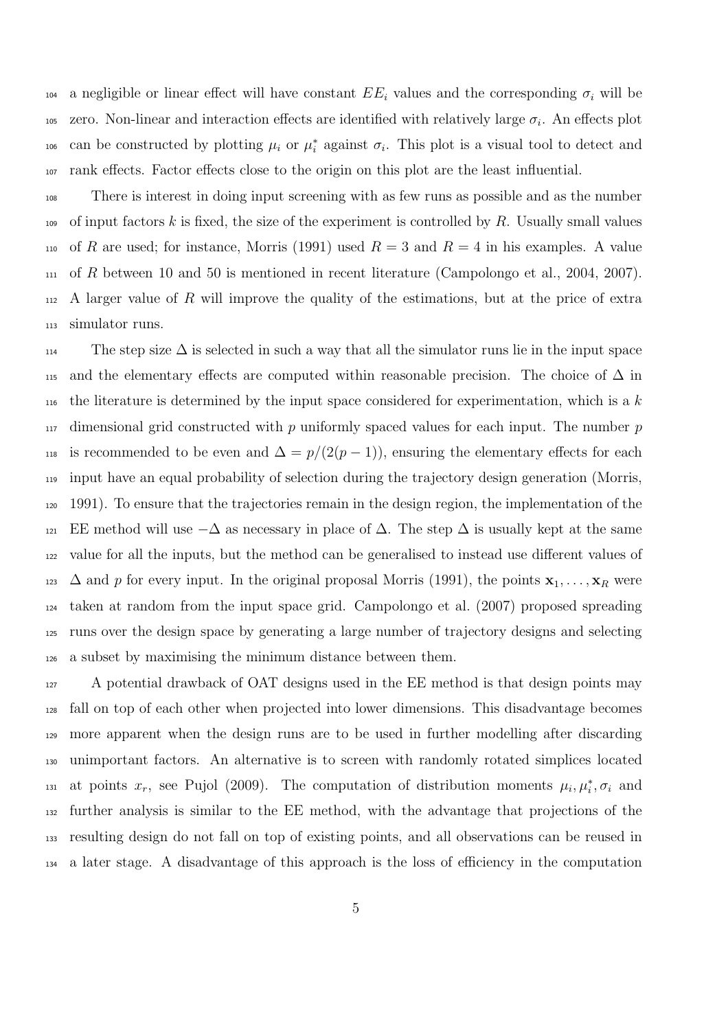104 a negligible or linear effect will have constant  $EE_i$  values and the corresponding  $\sigma_i$  will be <sup>105</sup> zero. Non-linear and interaction effects are identified with relatively large  $\sigma_i$ . An effects plot can be constructed by plotting  $\mu_i$  or  $\mu_i^*$ 106 can be constructed by plotting  $\mu_i$  or  $\mu_i^*$  against  $\sigma_i$ . This plot is a visual tool to detect and rank effects. Factor effects close to the origin on this plot are the least influential.

 There is interest in doing input screening with as few runs as possible and as the number of input factors k is fixed, the size of the experiment is controlled by R. Usually small values 110 of R are used; for instance, Morris (1991) used  $R = 3$  and  $R = 4$  in his examples. A value of R between 10 and 50 is mentioned in recent literature (Campolongo et al., 2004, 2007).  $_{112}$  A larger value of R will improve the quality of the estimations, but at the price of extra simulator runs.

The step size  $\Delta$  is selected in such a way that all the simulator runs lie in the input space 115 and the elementary effects are computed within reasonable precision. The choice of  $\Delta$  in  $_{116}$  the literature is determined by the input space considered for experimentation, which is a k dimensional grid constructed with p uniformly spaced values for each input. The number p 118 is recommended to be even and  $\Delta = p/(2(p-1))$ , ensuring the elementary effects for each input have an equal probability of selection during the trajectory design generation (Morris, 1991). To ensure that the trajectories remain in the design region, the implementation of the 121 EE method will use  $-\Delta$  as necessary in place of  $\Delta$ . The step  $\Delta$  is usually kept at the same value for all the inputs, but the method can be generalised to instead use different values of  $\Delta$  and p for every input. In the original proposal Morris (1991), the points  $\mathbf{x}_1, \ldots, \mathbf{x}_R$  were taken at random from the input space grid. Campolongo et al. (2007) proposed spreading runs over the design space by generating a large number of trajectory designs and selecting a subset by maximising the minimum distance between them.

 A potential drawback of OAT designs used in the EE method is that design points may fall on top of each other when projected into lower dimensions. This disadvantage becomes more apparent when the design runs are to be used in further modelling after discarding unimportant factors. An alternative is to screen with randomly rotated simplices located 131 at points  $x_r$ , see Pujol (2009). The computation of distribution moments  $\mu_i, \mu_i^*, \sigma_i$  and further analysis is similar to the EE method, with the advantage that projections of the resulting design do not fall on top of existing points, and all observations can be reused in a later stage. A disadvantage of this approach is the loss of efficiency in the computation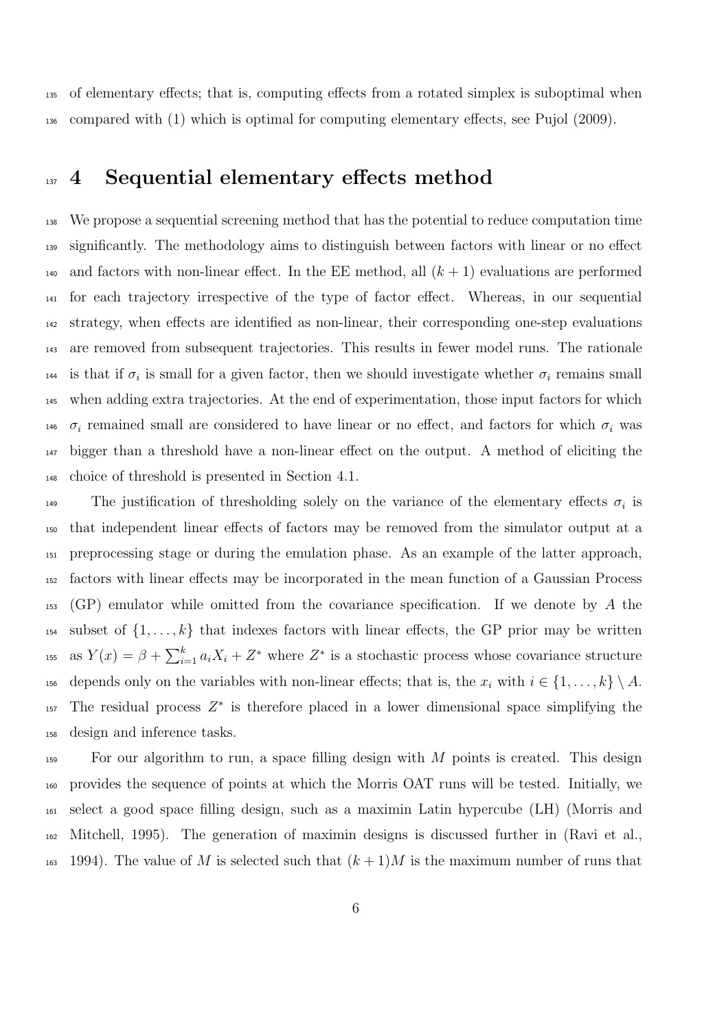of elementary effects; that is, computing effects from a rotated simplex is suboptimal when compared with (1) which is optimal for computing elementary effects, see Pujol (2009).

### <sup>137</sup> 4 Sequential elementary effects method

 We propose a sequential screening method that has the potential to reduce computation time significantly. The methodology aims to distinguish between factors with linear or no effect 140 and factors with non-linear effect. In the EE method, all  $(k + 1)$  evaluations are performed for each trajectory irrespective of the type of factor effect. Whereas, in our sequential strategy, when effects are identified as non-linear, their corresponding one-step evaluations are removed from subsequent trajectories. This results in fewer model runs. The rationale <sup>144</sup> is that if  $\sigma_i$  is small for a given factor, then we should investigate whether  $\sigma_i$  remains small when adding extra trajectories. At the end of experimentation, those input factors for which  $\sigma_i$  remained small are considered to have linear or no effect, and factors for which  $\sigma_i$  was bigger than a threshold have a non-linear effect on the output. A method of eliciting the choice of threshold is presented in Section 4.1.

The justification of thresholding solely on the variance of the elementary effects  $\sigma_i$  is that independent linear effects of factors may be removed from the simulator output at a preprocessing stage or during the emulation phase. As an example of the latter approach, factors with linear effects may be incorporated in the mean function of a Gaussian Process  $_{153}$  (GP) emulator while omitted from the covariance specification. If we denote by A the <sup>154</sup> subset of  $\{1, \ldots, k\}$  that indexes factors with linear effects, the GP prior may be written <sup>155</sup> as  $Y(x) = \beta + \sum_{i=1}^{k} a_i X_i + Z^*$  where  $Z^*$  is a stochastic process whose covariance structure 156 depends only on the variables with non-linear effects; that is, the  $x_i$  with  $i \in \{1, \ldots, k\} \setminus A$ . The residual process  $Z^*$  is therefore placed in a lower dimensional space simplifying the design and inference tasks.

 $\frac{159}{159}$  For our algorithm to run, a space filling design with M points is created. This design provides the sequence of points at which the Morris OAT runs will be tested. Initially, we select a good space filling design, such as a maximin Latin hypercube (LH) (Morris and Mitchell, 1995). The generation of maximin designs is discussed further in (Ravi et al., <sup>163</sup> 1994). The value of M is selected such that  $(k+1)M$  is the maximum number of runs that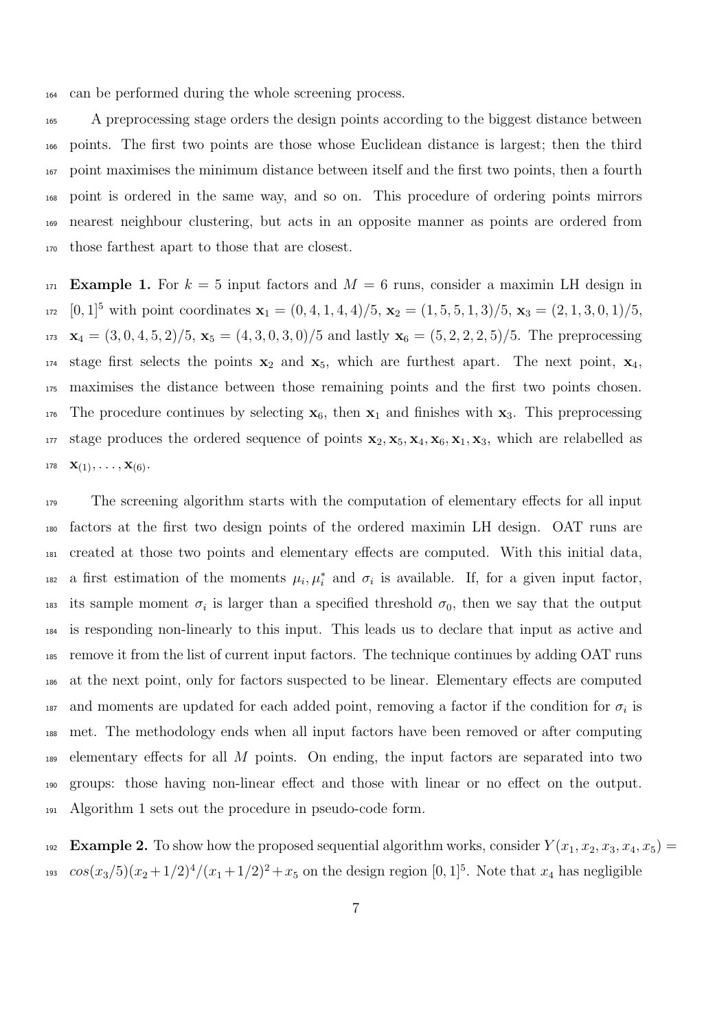can be performed during the whole screening process.

 A preprocessing stage orders the design points according to the biggest distance between points. The first two points are those whose Euclidean distance is largest; then the third point maximises the minimum distance between itself and the first two points, then a fourth point is ordered in the same way, and so on. This procedure of ordering points mirrors nearest neighbour clustering, but acts in an opposite manner as points are ordered from those farthest apart to those that are closest.

 Example 1. For  $k = 5$  input factors and  $M = 6$  runs, consider a maximin LH design in <sup>172</sup> [0, 1]<sup>5</sup> with point coordinates  $\mathbf{x}_1 = (0, 4, 1, 4, 4)/5$ ,  $\mathbf{x}_2 = (1, 5, 5, 1, 3)/5$ ,  $\mathbf{x}_3 = (2, 1, 3, 0, 1)/5$ , 173  $\mathbf{x}_4 = (3, 0, 4, 5, 2)/5$ ,  $\mathbf{x}_5 = (4, 3, 0, 3, 0)/5$  and lastly  $\mathbf{x}_6 = (5, 2, 2, 2, 5)/5$ . The preprocessing <sup>174</sup> stage first selects the points  $x_2$  and  $x_5$ , which are furthest apart. The next point,  $x_4$ , maximises the distance between those remaining points and the first two points chosen. <sup>176</sup> The procedure continues by selecting  $x_6$ , then  $x_1$  and finishes with  $x_3$ . This preprocessing <sup>177</sup> stage produces the ordered sequence of points  $x_2, x_5, x_4, x_6, x_1, x_3$ , which are relabelled as 178  $\mathbf{X}(1), \ldots, \mathbf{X}(6)$ .

 The screening algorithm starts with the computation of elementary effects for all input factors at the first two design points of the ordered maximin LH design. OAT runs are created at those two points and elementary effects are computed. With this initial data, <sup>182</sup> a first estimation of the moments  $\mu_i, \mu_i^*$  and  $\sigma_i$  is available. If, for a given input factor, <sup>183</sup> its sample moment  $\sigma_i$  is larger than a specified threshold  $\sigma_0$ , then we say that the output is responding non-linearly to this input. This leads us to declare that input as active and remove it from the list of current input factors. The technique continues by adding OAT runs at the next point, only for factors suspected to be linear. Elementary effects are computed 187 and moments are updated for each added point, removing a factor if the condition for  $\sigma_i$  is met. The methodology ends when all input factors have been removed or after computing  $_{189}$  elementary effects for all M points. On ending, the input factors are separated into two groups: those having non-linear effect and those with linear or no effect on the output. Algorithm 1 sets out the procedure in pseudo-code form.

192 Example 2. To show how the proposed sequential algorithm works, consider  $Y(x_1, x_2, x_3, x_4, x_5) =$ <sup>193</sup>  $cos(x_3/5)(x_2+1/2)^4/(x_1+1/2)^2+x_5$  on the design region  $[0,1]^5$ . Note that  $x_4$  has negligible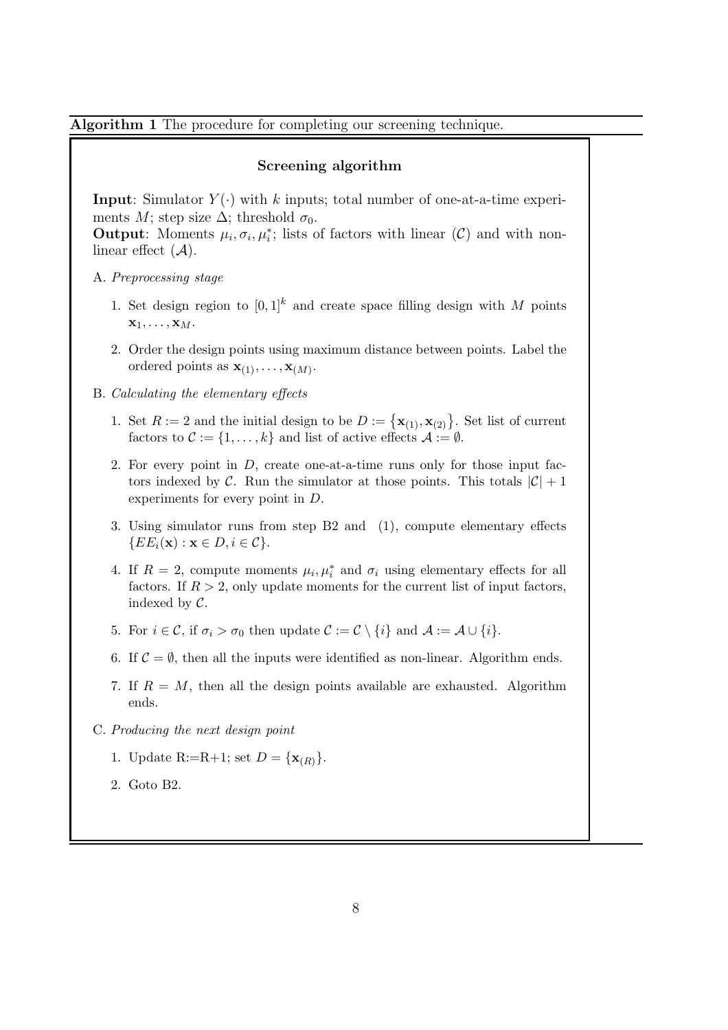Algorithm 1 The procedure for completing our screening technique.

#### Screening algorithm

**Input:** Simulator  $Y(\cdot)$  with k inputs; total number of one-at-a-time experiments M; step size  $\Delta$ ; threshold  $\sigma_0$ .

**Output:** Moments  $\mu_i, \sigma_i, \mu_i^*$ ; lists of factors with linear (C) and with nonlinear effect  $(A)$ .

- A. Preprocessing stage
	- 1. Set design region to  $[0, 1]^k$  and create space filling design with M points  $\mathbf{x}_1, \ldots, \mathbf{x}_M$ .
	- 2. Order the design points using maximum distance between points. Label the ordered points as  $\mathbf{x}_{(1)}, \ldots, \mathbf{x}_{(M)}$ .
- B. Calculating the elementary effects
	- 1. Set  $R := 2$  and the initial design to be  $D := {\mathbf{x}_{(1)}, \mathbf{x}_{(2)}}$ . Set list of current factors to  $\mathcal{C} := \{1, \ldots, k\}$  and list of active effects  $\mathcal{A} := \emptyset$ .
	- 2. For every point in D, create one-at-a-time runs only for those input factors indexed by C. Run the simulator at those points. This totals  $|\mathcal{C}| + 1$ experiments for every point in D.
	- 3. Using simulator runs from step B2 and (1), compute elementary effects  ${E E_i(\mathbf{x}) : \mathbf{x} \in D, i \in \mathcal{C}}.$
	- 4. If  $R = 2$ , compute moments  $\mu_i, \mu_i^*$  and  $\sigma_i$  using elementary effects for all factors. If  $R > 2$ , only update moments for the current list of input factors, indexed by  $\mathcal{C}$ .
	- 5. For  $i \in \mathcal{C}$ , if  $\sigma_i > \sigma_0$  then update  $\mathcal{C} := \mathcal{C} \setminus \{i\}$  and  $\mathcal{A} := \mathcal{A} \cup \{i\}.$
	- 6. If  $C = \emptyset$ , then all the inputs were identified as non-linear. Algorithm ends.
	- 7. If  $R = M$ , then all the design points available are exhausted. Algorithm ends.
- C. Producing the next design point
	- 1. Update R:=R+1; set  $D = {\mathbf{x}_{(R)}}$ .
	- 2. Goto B2.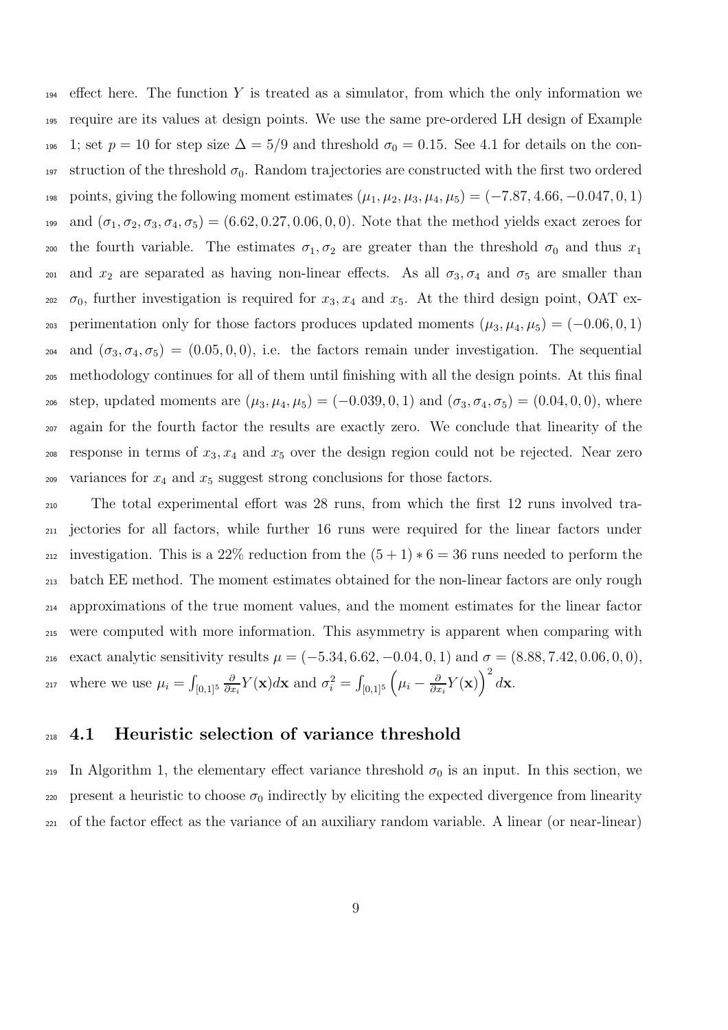$_{194}$  effect here. The function Y is treated as a simulator, from which the only information we <sup>195</sup> require are its values at design points. We use the same pre-ordered LH design of Example 196 1; set  $p = 10$  for step size  $\Delta = 5/9$  and threshold  $\sigma_0 = 0.15$ . See 4.1 for details on the con-197 struction of the threshold  $\sigma_0$ . Random trajectories are constructed with the first two ordered 198 points, giving the following moment estimates  $(\mu_1, \mu_2, \mu_3, \mu_4, \mu_5) = (-7.87, 4.66, -0.047, 0, 1)$ 199 and  $(\sigma_1, \sigma_2, \sigma_3, \sigma_4, \sigma_5) = (6.62, 0.27, 0.06, 0, 0)$ . Note that the method yields exact zeroes for 200 the fourth variable. The estimates  $\sigma_1, \sigma_2$  are greater than the threshold  $\sigma_0$  and thus  $x_1$ 201 and  $x_2$  are separated as having non-linear effects. As all  $\sigma_3, \sigma_4$  and  $\sigma_5$  are smaller than  $\sigma_0$ , further investigation is required for  $x_3, x_4$  and  $x_5$ . At the third design point, OAT ex-203 perimentation only for those factors produces updated moments  $(\mu_3, \mu_4, \mu_5) = (-0.06, 0, 1)$ 204 and  $(\sigma_3, \sigma_4, \sigma_5) = (0.05, 0, 0)$ , i.e. the factors remain under investigation. The sequential <sup>205</sup> methodology continues for all of them until finishing with all the design points. At this final 206 step, updated moments are  $(\mu_3, \mu_4, \mu_5) = (-0.039, 0, 1)$  and  $(\sigma_3, \sigma_4, \sigma_5) = (0.04, 0, 0)$ , where <sup>207</sup> again for the fourth factor the results are exactly zero. We conclude that linearity of the  $208$  response in terms of  $x_3, x_4$  and  $x_5$  over the design region could not be rejected. Near zero 209 variances for  $x_4$  and  $x_5$  suggest strong conclusions for those factors.

<sup>210</sup> The total experimental effort was 28 runs, from which the first 12 runs involved tra-<sup>211</sup> jectories for all factors, while further 16 runs were required for the linear factors under 212 investigation. This is a 22% reduction from the  $(5+1)*6=36$  runs needed to perform the <sup>213</sup> batch EE method. The moment estimates obtained for the non-linear factors are only rough <sup>214</sup> approximations of the true moment values, and the moment estimates for the linear factor <sup>215</sup> were computed with more information. This asymmetry is apparent when comparing with 216 exact analytic sensitivity results  $\mu = (-5.34, 6.62, -0.04, 0, 1)$  and  $\sigma = (8.88, 7.42, 0.06, 0, 0)$ , where we use  $\mu_i = \int_{[0,1]^5}$ ∂  $\frac{\partial}{\partial x_i} Y(\mathbf{x}) d\mathbf{x}$  and  $\sigma_i^2 = \int_{[0,1]^5} \left( \mu_i - \frac{\partial}{\partial x_i} \right)$ 217 where we use  $\mu_i = \int_{[0,1]^5} \frac{\partial}{\partial x_i} Y(\mathbf{x}) d\mathbf{x}$  and  $\sigma_i^2 = \int_{[0,1]^5} \left( \mu_i - \frac{\partial}{\partial x_i} Y(\mathbf{x}) \right)^2 d\mathbf{x}$ .

#### <sup>218</sup> 4.1 Heuristic selection of variance threshold

219 In Algorithm 1, the elementary effect variance threshold  $\sigma_0$  is an input. In this section, we 220 present a heuristic to choose  $\sigma_0$  indirectly by eliciting the expected divergence from linearity <sup>221</sup> of the factor effect as the variance of an auxiliary random variable. A linear (or near-linear)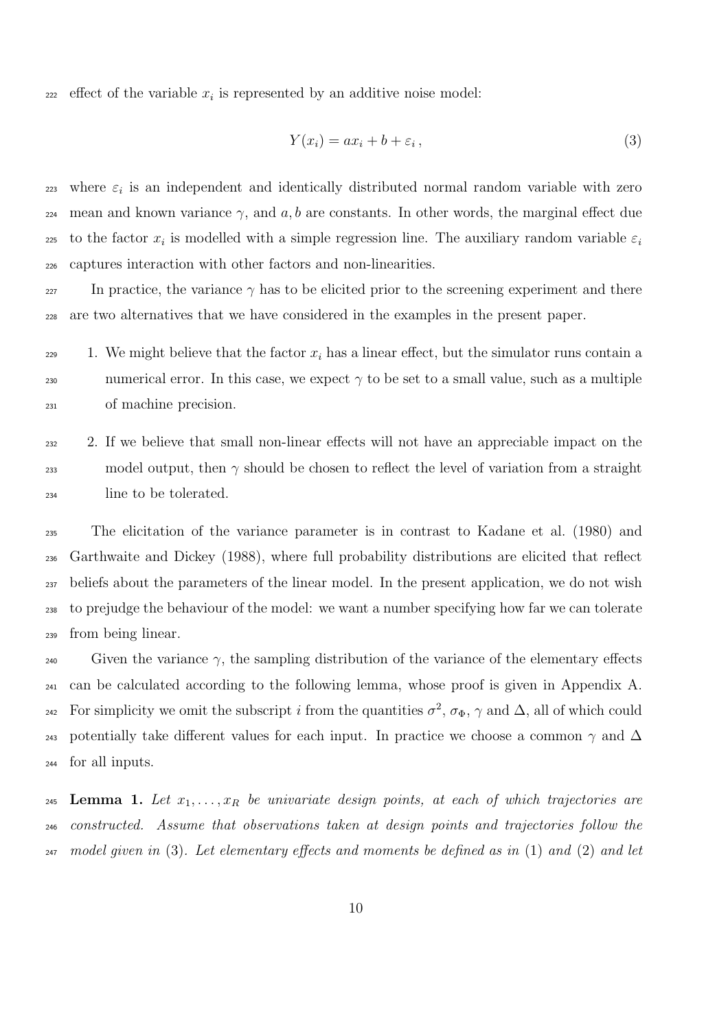$_{222}$  effect of the variable  $x_i$  is represented by an additive noise model:

$$
Y(x_i) = ax_i + b + \varepsilon_i, \tag{3}
$$

 $_{223}$  where  $\varepsilon_i$  is an independent and identically distributed normal random variable with zero 224 mean and known variance  $\gamma$ , and a, b are constants. In other words, the marginal effect due to the factor  $x_i$  is modelled with a simple regression line. The auxiliary random variable  $\varepsilon_i$ 225 <sup>226</sup> captures interaction with other factors and non-linearities.

227 In practice, the variance  $\gamma$  has to be elicited prior to the screening experiment and there <sup>228</sup> are two alternatives that we have considered in the examples in the present paper.

229 1. We might believe that the factor  $x_i$  has a linear effect, but the simulator runs contain a numerical error. In this case, we expect  $\gamma$  to be set to a small value, such as a multiple <sup>231</sup> of machine precision.

<sup>232</sup> 2. If we believe that small non-linear effects will not have an appreciable impact on the 233 model output, then  $\gamma$  should be chosen to reflect the level of variation from a straight <sup>234</sup> line to be tolerated.

 The elicitation of the variance parameter is in contrast to Kadane et al. (1980) and Garthwaite and Dickey (1988), where full probability distributions are elicited that reflect beliefs about the parameters of the linear model. In the present application, we do not wish to prejudge the behaviour of the model: we want a number specifying how far we can tolerate from being linear.

240 Given the variance  $\gamma$ , the sampling distribution of the variance of the elementary effects <sup>241</sup> can be calculated according to the following lemma, whose proof is given in Appendix A. <sup>242</sup> For simplicity we omit the subscript i from the quantities  $\sigma^2$ ,  $\sigma_{\Phi}$ ,  $\gamma$  and  $\Delta$ , all of which could 243 potentially take different values for each input. In practice we choose a common  $\gamma$  and  $\Delta$ <sup>244</sup> for all inputs.

245 Lemma 1. Let  $x_1, \ldots, x_R$  be univariate design points, at each of which trajectories are <sup>246</sup> constructed. Assume that observations taken at design points and trajectories follow the <sup>247</sup> model given in (3). Let elementary effects and moments be defined as in (1) and (2) and let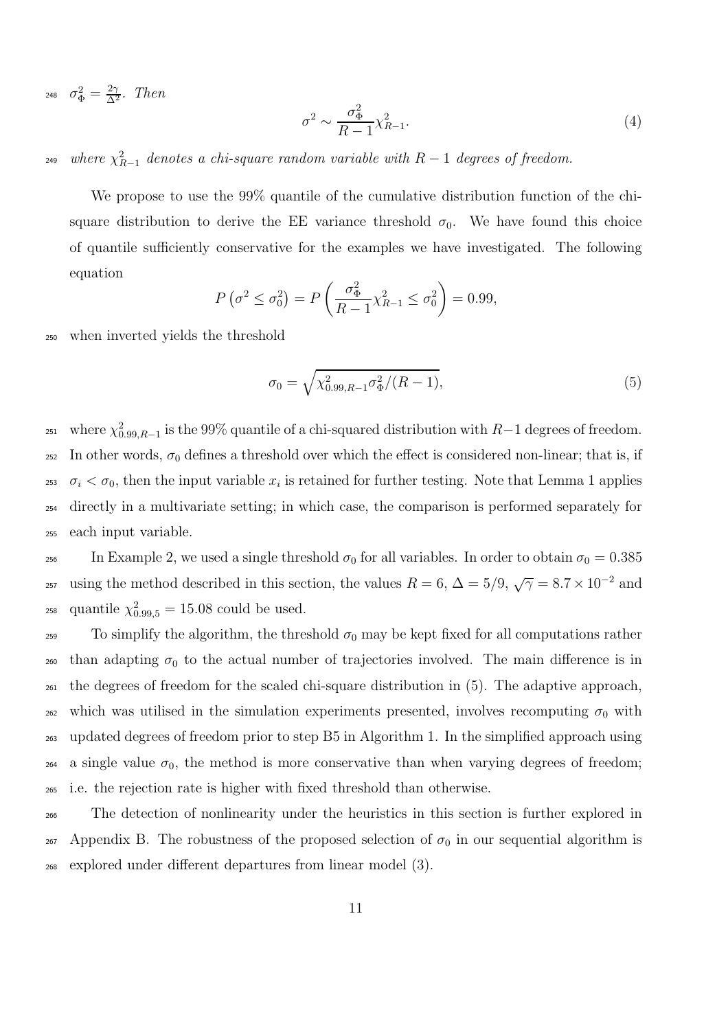<sup>248</sup>  $\sigma_{\Phi}^2 = \frac{2\gamma}{\Delta^2}$ . Then

$$
\sigma^2 \sim \frac{\sigma_{\Phi}^2}{R - 1} \chi_{R - 1}^2. \tag{4}
$$

<sup>249</sup> where  $\chi^2_{R-1}$  denotes a chi-square random variable with  $R-1$  degrees of freedom.

We propose to use the 99% quantile of the cumulative distribution function of the chisquare distribution to derive the EE variance threshold  $\sigma_0$ . We have found this choice of quantile sufficiently conservative for the examples we have investigated. The following equation

$$
P\left(\sigma^2 \le \sigma_0^2\right) = P\left(\frac{\sigma_{\Phi}^2}{R - 1} \chi_{R - 1}^2 \le \sigma_0^2\right) = 0.99,
$$

<sup>250</sup> when inverted yields the threshold

$$
\sigma_0 = \sqrt{\chi_{0.99, R-1}^2 \sigma_{\Phi}^2 / (R-1)},\tag{5}
$$

<sup>251</sup> where  $\chi^2_{0.99,R-1}$  is the 99% quantile of a chi-squared distribution with  $R-1$  degrees of freedom. 252 In other words,  $\sigma_0$  defines a threshold over which the effect is considered non-linear; that is, if <sup>253</sup>  $\sigma_i < \sigma_0$ , then the input variable  $x_i$  is retained for further testing. Note that Lemma 1 applies <sup>254</sup> directly in a multivariate setting; in which case, the comparison is performed separately for <sup>255</sup> each input variable.

<sup>256</sup> In Example 2, we used a single threshold  $\sigma_0$  for all variables. In order to obtain  $\sigma_0 = 0.385$ <sup>257</sup> using the method described in this section, the values  $R = 6$ ,  $\Delta = 5/9$ ,  $\sqrt{7} = 8.7 \times 10^{-2}$  and <sup>258</sup> quantile  $\chi^{2}_{0.99,5} = 15.08$  could be used.

 To simplify the algorithm, the threshold  $\sigma_0$  may be kept fixed for all computations rather  $_{260}$  than adapting  $\sigma_0$  to the actual number of trajectories involved. The main difference is in the degrees of freedom for the scaled chi-square distribution in (5). The adaptive approach, which was utilised in the simulation experiments presented, involves recomputing  $σ<sub>0</sub>$  with updated degrees of freedom prior to step B5 in Algorithm 1. In the simplified approach using 264 a single value  $\sigma_0$ , the method is more conservative than when varying degrees of freedom; i.e. the rejection rate is higher with fixed threshold than otherwise.

<sup>266</sup> The detection of nonlinearity under the heuristics in this section is further explored in  $267$  Appendix B. The robustness of the proposed selection of  $\sigma_0$  in our sequential algorithm is <sup>268</sup> explored under different departures from linear model (3).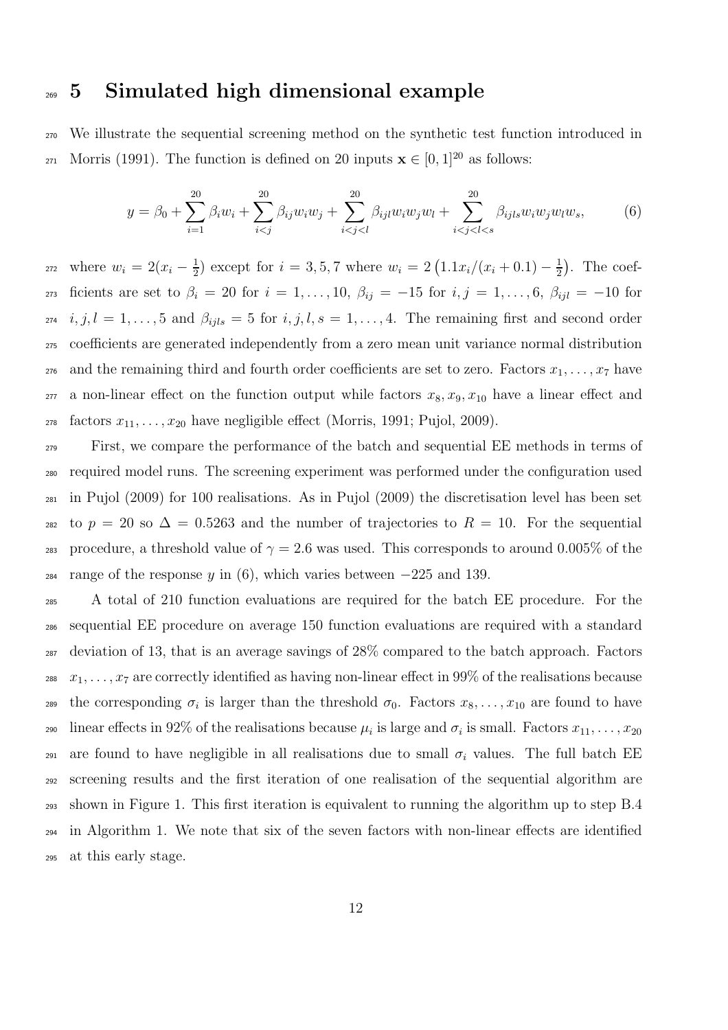### <sup>269</sup> 5 Simulated high dimensional example

<sup>270</sup> We illustrate the sequential screening method on the synthetic test function introduced in 271 Morris (1991). The function is defined on 20 inputs  $\mathbf{x} \in [0, 1]^{20}$  as follows:

$$
y = \beta_0 + \sum_{i=1}^{20} \beta_i w_i + \sum_{i
$$

where  $w_i = 2(x_i - \frac{1}{2})$  $\frac{1}{2}$ ) except for  $i = 3, 5, 7$  where  $w_i = 2(1.1x_i/(x_i + 0.1) - \frac{1}{2})$ 272 where  $w_i = 2(x_i - \frac{1}{2})$  except for  $i = 3, 5, 7$  where  $w_i = 2(1.1x_i/(x_i + 0.1) - \frac{1}{2})$ . The coef-273 ficients are set to  $\beta_i = 20$  for  $i = 1, \ldots, 10, \beta_{ij} = -15$  for  $i, j = 1, \ldots, 6, \beta_{ij} = -10$  for  $274$  i,  $j, l = 1, \ldots, 5$  and  $\beta_{ijls} = 5$  for  $i, j, l, s = 1, \ldots, 4$ . The remaining first and second order <sup>275</sup> coefficients are generated independently from a zero mean unit variance normal distribution <sub>276</sub> and the remaining third and fourth order coefficients are set to zero. Factors  $x_1, \ldots, x_7$  have <sub>277</sub> a non-linear effect on the function output while factors  $x_8, x_9, x_{10}$  have a linear effect and <sup>278</sup> factors  $x_{11}, \ldots, x_{20}$  have negligible effect (Morris, 1991; Pujol, 2009).

<sup>279</sup> First, we compare the performance of the batch and sequential EE methods in terms of <sup>280</sup> required model runs. The screening experiment was performed under the configuration used <sup>281</sup> in Pujol (2009) for 100 realisations. As in Pujol (2009) the discretisation level has been set 282 to  $p = 20$  so  $\Delta = 0.5263$  and the number of trajectories to  $R = 10$ . For the sequential 283 procedure, a threshold value of  $\gamma = 2.6$  was used. This corresponds to around 0.005% of the <sup>284</sup> range of the response y in (6), which varies between  $-225$  and 139.

 A total of 210 function evaluations are required for the batch EE procedure. For the sequential EE procedure on average 150 function evaluations are required with a standard deviation of 13, that is an average savings of 28% compared to the batch approach. Factors <sup>288</sup>  $x_1, \ldots, x_7$  are correctly identified as having non-linear effect in 99% of the realisations because 289 the corresponding  $\sigma_i$  is larger than the threshold  $\sigma_0$ . Factors  $x_8, \ldots, x_{10}$  are found to have 290 linear effects in 92% of the realisations because  $\mu_i$  is large and  $\sigma_i$  is small. Factors  $x_{11}, \ldots, x_{20}$ 291 are found to have negligible in all realisations due to small  $\sigma_i$  values. The full batch EE screening results and the first iteration of one realisation of the sequential algorithm are shown in Figure 1. This first iteration is equivalent to running the algorithm up to step B.4 in Algorithm 1. We note that six of the seven factors with non-linear effects are identified at this early stage.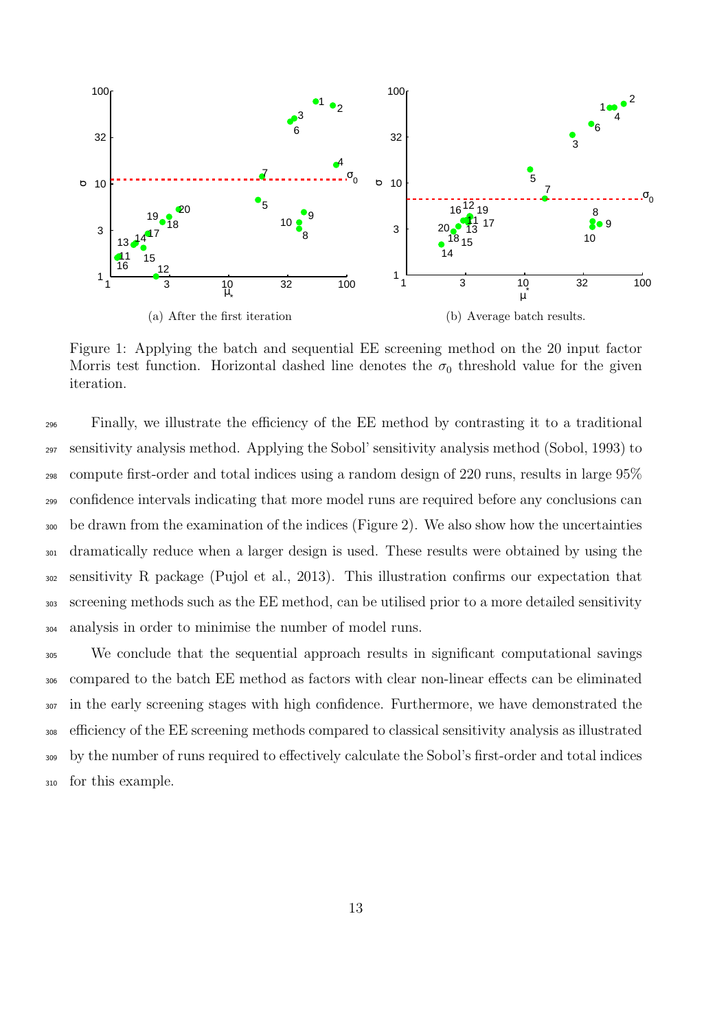

Figure 1: Applying the batch and sequential EE screening method on the 20 input factor Morris test function. Horizontal dashed line denotes the  $\sigma_0$  threshold value for the given iteration.

 Finally, we illustrate the efficiency of the EE method by contrasting it to a traditional sensitivity analysis method. Applying the Sobol' sensitivity analysis method (Sobol, 1993) to compute first-order and total indices using a random design of 220 runs, results in large 95% confidence intervals indicating that more model runs are required before any conclusions can be drawn from the examination of the indices (Figure 2). We also show how the uncertainties dramatically reduce when a larger design is used. These results were obtained by using the sensitivity R package (Pujol et al., 2013). This illustration confirms our expectation that screening methods such as the EE method, can be utilised prior to a more detailed sensitivity analysis in order to minimise the number of model runs.

 We conclude that the sequential approach results in significant computational savings compared to the batch EE method as factors with clear non-linear effects can be eliminated <sup>307</sup> in the early screening stages with high confidence. Furthermore, we have demonstrated the efficiency of the EE screening methods compared to classical sensitivity analysis as illustrated by the number of runs required to effectively calculate the Sobol's first-order and total indices for this example.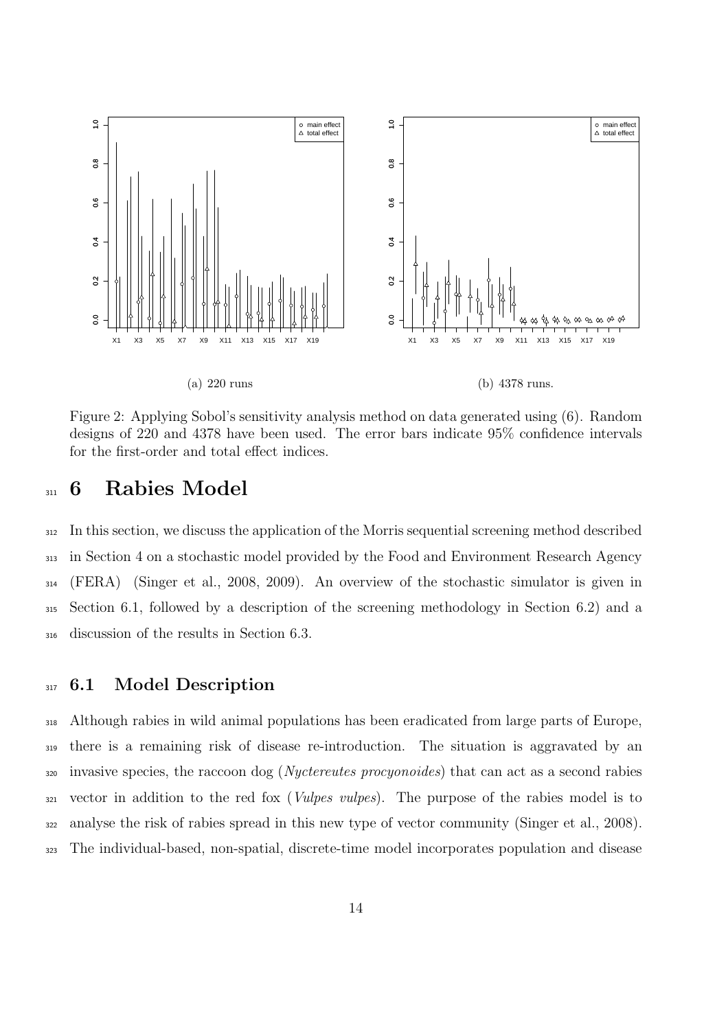

Figure 2: Applying Sobol's sensitivity analysis method on data generated using (6). Random designs of 220 and 4378 have been used. The error bars indicate 95% confidence intervals for the first-order and total effect indices.

### 311 6 Rabies Model

 In this section, we discuss the application of the Morris sequential screening method described in Section 4 on a stochastic model provided by the Food and Environment Research Agency (FERA) (Singer et al., 2008, 2009). An overview of the stochastic simulator is given in Section 6.1, followed by a description of the screening methodology in Section 6.2) and a discussion of the results in Section 6.3.

### 317 6.1 Model Description

 Although rabies in wild animal populations has been eradicated from large parts of Europe, there is a remaining risk of disease re-introduction. The situation is aggravated by an <sup>320</sup> invasive species, the raccoon dog (*Nyctereutes procyonoides*) that can act as a second rabies vector in addition to the red fox (Vulpes vulpes). The purpose of the rabies model is to analyse the risk of rabies spread in this new type of vector community (Singer et al., 2008). The individual-based, non-spatial, discrete-time model incorporates population and disease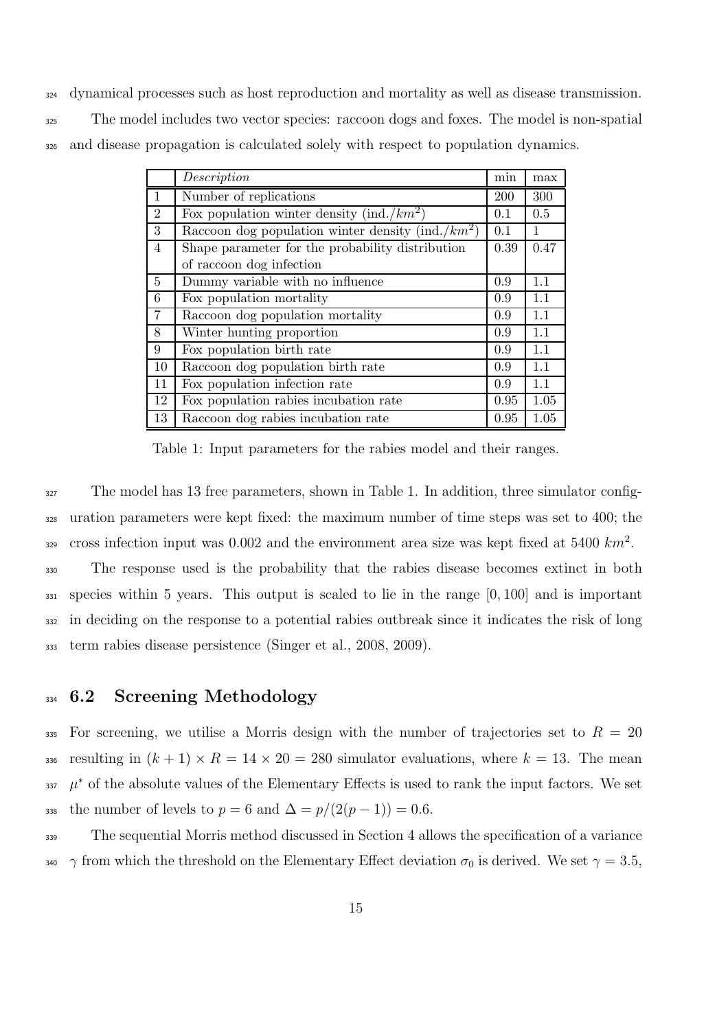dynamical processes such as host reproduction and mortality as well as disease transmission. The model includes two vector species: raccoon dogs and foxes. The model is non-spatial and disease propagation is calculated solely with respect to population dynamics.

|                | Description                                           | min  | max  |
|----------------|-------------------------------------------------------|------|------|
| 1              | Number of replications                                | 200  | 300  |
| $\overline{2}$ | Fox population winter density (ind./ $km^2$ )         | 0.1  | 0.5  |
| 3              | Raccoon dog population winter density (ind./ $km^2$ ) | 0.1  | 1    |
| $\overline{4}$ | Shape parameter for the probability distribution      | 0.39 | 0.47 |
|                | of raccoon dog infection                              |      |      |
| 5              | Dummy variable with no influence                      | 0.9  | 1.1  |
| 6              | Fox population mortality                              | 0.9  | 1.1  |
| $\overline{7}$ | Raccoon dog population mortality                      | 0.9  | 1.1  |
| 8              | Winter hunting proportion                             | 0.9  | 1.1  |
| 9              | Fox population birth rate                             | 0.9  | 1.1  |
| 10             | Raccoon dog population birth rate                     | 0.9  | 1.1  |
| 11             | Fox population infection rate                         | 0.9  | 1.1  |
| 12             | Fox population rabies incubation rate                 | 0.95 | 1.05 |
| 13             | Raccoon dog rabies incubation rate                    | 0.95 | 1.05 |

Table 1: Input parameters for the rabies model and their ranges.

<sup>327</sup> The model has 13 free parameters, shown in Table 1. In addition, three simulator config- uration parameters were kept fixed: the maximum number of time steps was set to 400; the cross infection input was 0.002 and the environment area size was kept fixed at  $5400 \; km^2$ . The response used is the probability that the rabies disease becomes extinct in both species within 5 years. This output is scaled to lie in the range [0, 100] and is important in deciding on the response to a potential rabies outbreak since it indicates the risk of long term rabies disease persistence (Singer et al., 2008, 2009).

### 334 6.2 Screening Methodology

335 For screening, we utilise a Morris design with the number of trajectories set to  $R = 20$ 336 resulting in  $(k + 1) \times R = 14 \times 20 = 280$  simulator evaluations, where  $k = 13$ . The mean  $\mu^*$  of the absolute values of the Elementary Effects is used to rank the input factors. We set 338 the number of levels to  $p = 6$  and  $\Delta = p/(2(p-1)) = 0.6$ .

 The sequential Morris method discussed in Section 4 allows the specification of a variance 340 γ from which the threshold on the Elementary Effect deviation  $\sigma_0$  is derived. We set  $\gamma = 3.5$ ,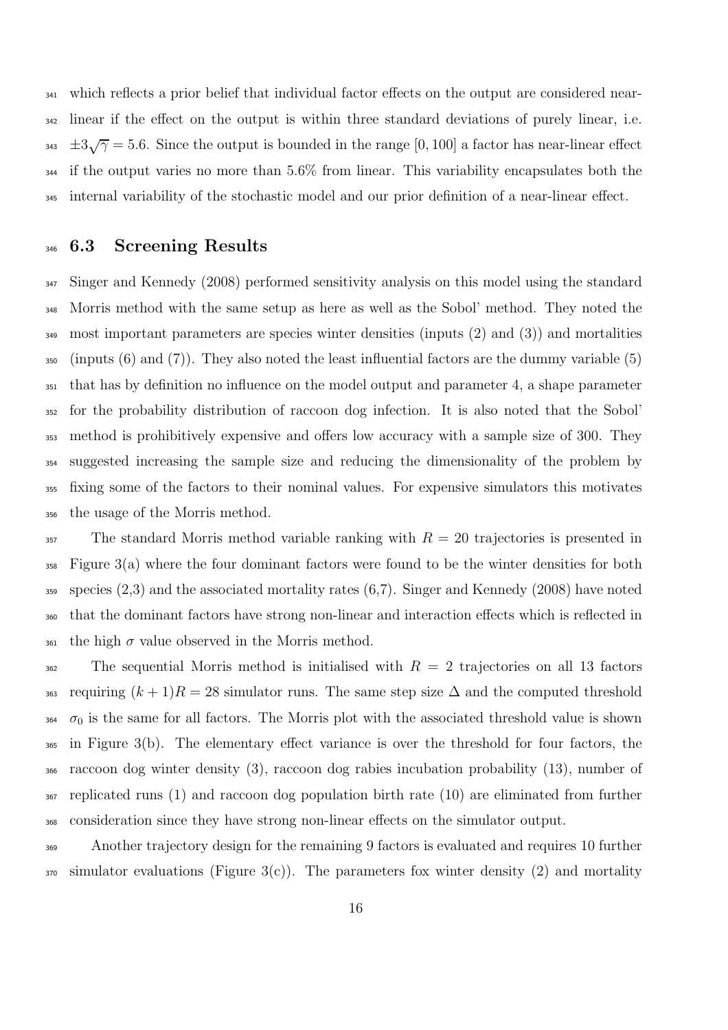which reflects a prior belief that individual factor effects on the output are considered near- linear if the effect on the output is within three standard deviations of purely linear, i.e.  $\pm 3\sqrt{2} = 5.6$ . Since the output is bounded in the range [0, 100] a factor has near-linear effect <sup>344</sup> if the output varies no more than 5.6% from linear. This variability encapsulates both the internal variability of the stochastic model and our prior definition of a near-linear effect.

#### 346 6.3 Screening Results

 Singer and Kennedy (2008) performed sensitivity analysis on this model using the standard Morris method with the same setup as here as well as the Sobol' method. They noted the most important parameters are species winter densities (inputs (2) and (3)) and mortalities  $\frac{350}{250}$  (inputs (6) and (7)). They also noted the least influential factors are the dummy variable (5) that has by definition no influence on the model output and parameter 4, a shape parameter for the probability distribution of raccoon dog infection. It is also noted that the Sobol' method is prohibitively expensive and offers low accuracy with a sample size of 300. They suggested increasing the sample size and reducing the dimensionality of the problem by fixing some of the factors to their nominal values. For expensive simulators this motivates the usage of the Morris method.

 The standard Morris method variable ranking with  $R = 20$  trajectories is presented in Figure 3(a) where the four dominant factors were found to be the winter densities for both species  $(2,3)$  and the associated mortality rates  $(6,7)$ . Singer and Kennedy (2008) have noted that the dominant factors have strong non-linear and interaction effects which is reflected in 361 the high  $\sigma$  value observed in the Morris method.

<sup>362</sup> The sequential Morris method is initialised with  $R = 2$  trajectories on all 13 factors <sup>363</sup> requiring  $(k + 1)R = 28$  simulator runs. The same step size  $\Delta$  and the computed threshold  $\sigma_0$  is the same for all factors. The Morris plot with the associated threshold value is shown in Figure 3(b). The elementary effect variance is over the threshold for four factors, the raccoon dog winter density (3), raccoon dog rabies incubation probability (13), number of replicated runs (1) and raccoon dog population birth rate (10) are eliminated from further consideration since they have strong non-linear effects on the simulator output.

 Another trajectory design for the remaining 9 factors is evaluated and requires 10 further simulator evaluations (Figure 3(c)). The parameters fox winter density (2) and mortality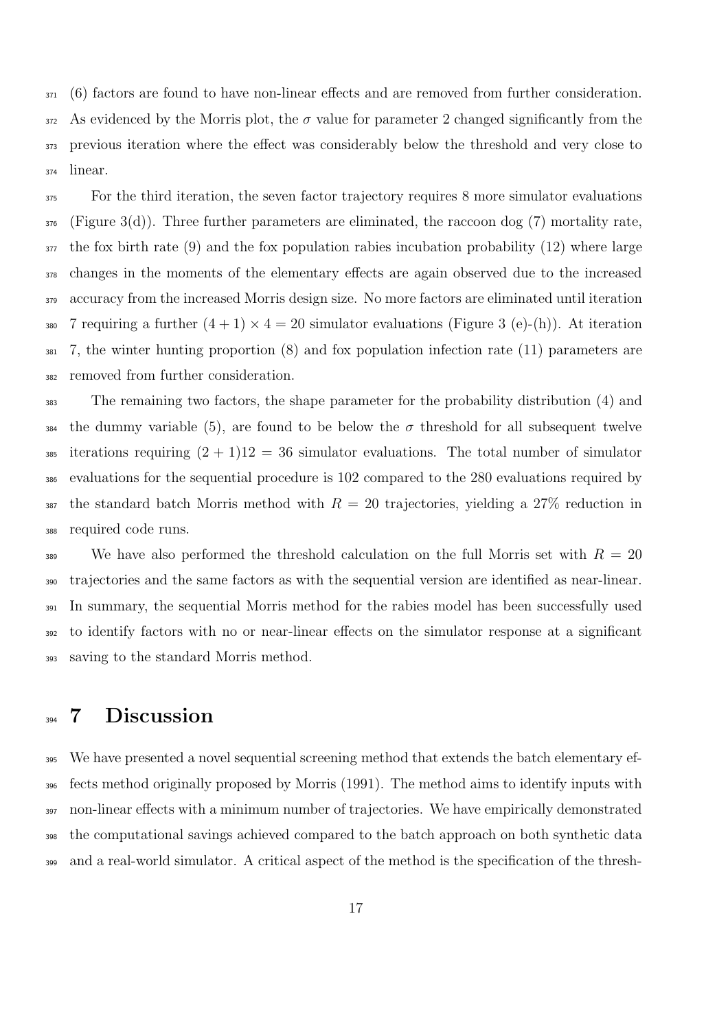(6) factors are found to have non-linear effects and are removed from further consideration. As evidenced by the Morris plot, the  $\sigma$  value for parameter 2 changed significantly from the previous iteration where the effect was considerably below the threshold and very close to linear.

<sup>375</sup> For the third iteration, the seven factor trajectory requires 8 more simulator evaluations (Figure 3(d)). Three further parameters are eliminated, the raccoon dog (7) mortality rate, the fox birth rate (9) and the fox population rabies incubation probability (12) where large changes in the moments of the elementary effects are again observed due to the increased accuracy from the increased Morris design size. No more factors are eliminated until iteration 380 7 requiring a further  $(4 + 1) \times 4 = 20$  simulator evaluations (Figure 3 (e)-(h)). At iteration 7, the winter hunting proportion (8) and fox population infection rate (11) parameters are removed from further consideration.

 The remaining two factors, the shape parameter for the probability distribution (4) and <sup>384</sup> the dummy variable (5), are found to be below the  $\sigma$  threshold for all subsequent twelve 385 iterations requiring  $(2 + 1)12 = 36$  simulator evaluations. The total number of simulator evaluations for the sequential procedure is 102 compared to the 280 evaluations required by 387 the standard batch Morris method with  $R = 20$  trajectories, yielding a 27\% reduction in required code runs.

<sup>389</sup> We have also performed the threshold calculation on the full Morris set with  $R = 20$  trajectories and the same factors as with the sequential version are identified as near-linear. In summary, the sequential Morris method for the rabies model has been successfully used to identify factors with no or near-linear effects on the simulator response at a significant saving to the standard Morris method.

## 394 7 Discussion

 We have presented a novel sequential screening method that extends the batch elementary ef- fects method originally proposed by Morris (1991). The method aims to identify inputs with non-linear effects with a minimum number of trajectories. We have empirically demonstrated the computational savings achieved compared to the batch approach on both synthetic data and a real-world simulator. A critical aspect of the method is the specification of the thresh-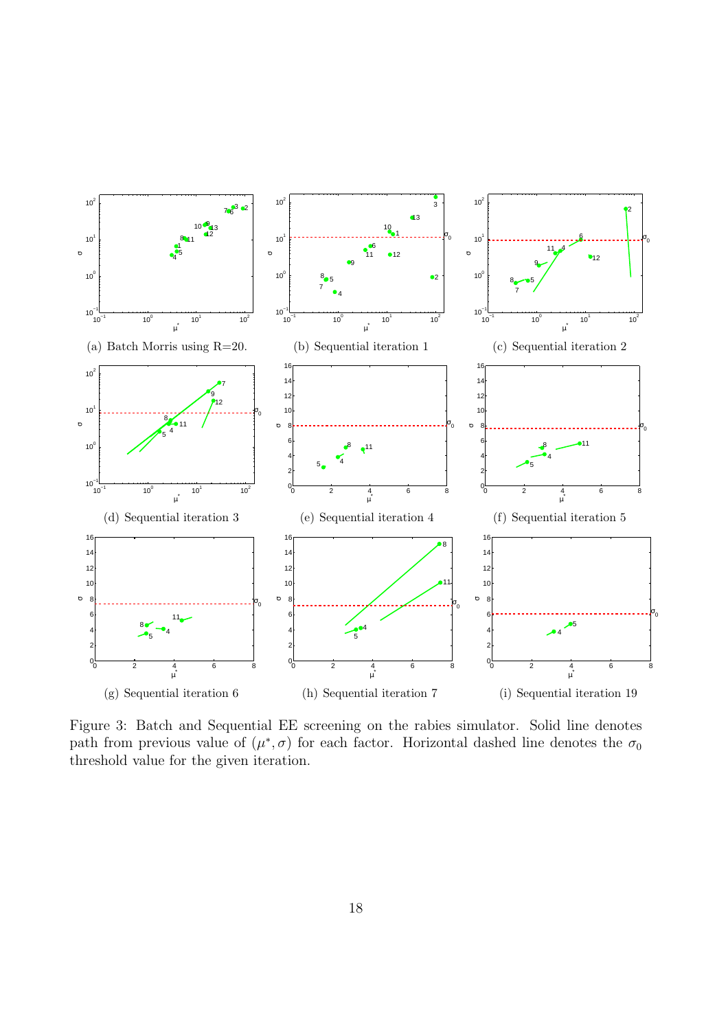

Figure 3: Batch and Sequential EE screening on the rabies simulator. Solid line denotes path from previous value of  $(\mu^*, \sigma)$  for each factor. Horizontal dashed line denotes the  $\sigma_0$ threshold value for the given iteration.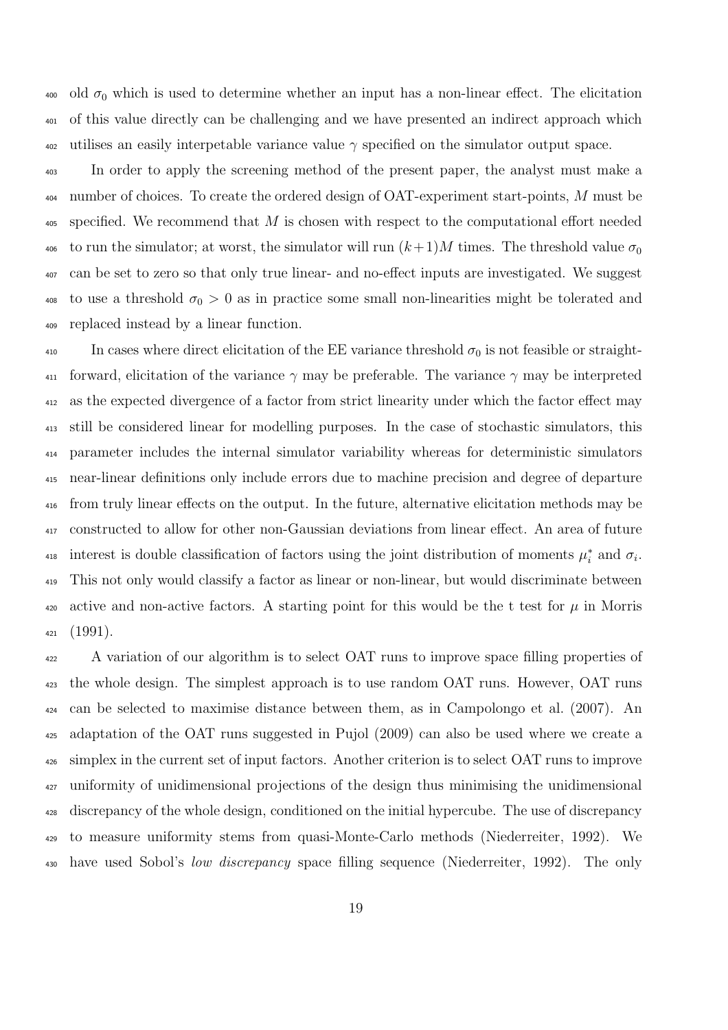400 old  $\sigma_0$  which is used to determine whether an input has a non-linear effect. The elicitation of this value directly can be challenging and we have presented an indirect approach which  $\frac{402}{402}$  utilises an easily interpetable variance value  $\gamma$  specified on the simulator output space.

 In order to apply the screening method of the present paper, the analyst must make a 404 number of choices. To create the ordered design of OAT-experiment start-points, M must be specified. We recommend that M is chosen with respect to the computational effort needed 406 to run the simulator; at worst, the simulator will run  $(k+1)M$  times. The threshold value  $\sigma_0$  can be set to zero so that only true linear- and no-effect inputs are investigated. We suggest <sup>408</sup> to use a threshold  $\sigma_0 > 0$  as in practice some small non-linearities might be tolerated and replaced instead by a linear function.

410 In cases where direct elicitation of the EE variance threshold  $\sigma_0$  is not feasible or straight-411 forward, elicitation of the variance  $\gamma$  may be preferable. The variance  $\gamma$  may be interpreted as the expected divergence of a factor from strict linearity under which the factor effect may still be considered linear for modelling purposes. In the case of stochastic simulators, this parameter includes the internal simulator variability whereas for deterministic simulators near-linear definitions only include errors due to machine precision and degree of departure from truly linear effects on the output. In the future, alternative elicitation methods may be constructed to allow for other non-Gaussian deviations from linear effect. An area of future interest is double classification of factors using the joint distribution of moments  $\mu_i^*$ <sup>418</sup> interest is double classification of factors using the joint distribution of moments  $\mu_i^*$  and  $\sigma_i$ . This not only would classify a factor as linear or non-linear, but would discriminate between 420 active and non-active factors. A starting point for this would be the t test for  $\mu$  in Morris (1991).

 A variation of our algorithm is to select OAT runs to improve space filling properties of the whole design. The simplest approach is to use random OAT runs. However, OAT runs can be selected to maximise distance between them, as in Campolongo et al. (2007). An adaptation of the OAT runs suggested in Pujol (2009) can also be used where we create a simplex in the current set of input factors. Another criterion is to select OAT runs to improve uniformity of unidimensional projections of the design thus minimising the unidimensional discrepancy of the whole design, conditioned on the initial hypercube. The use of discrepancy to measure uniformity stems from quasi-Monte-Carlo methods (Niederreiter, 1992). We have used Sobol's low discrepancy space filling sequence (Niederreiter, 1992). The only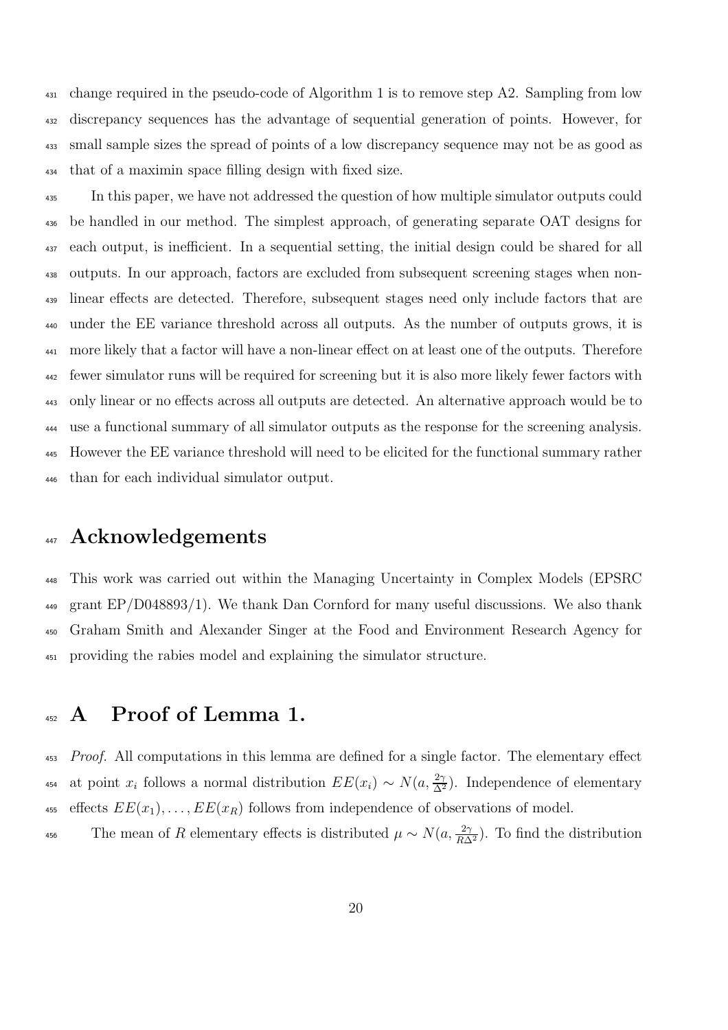change required in the pseudo-code of Algorithm 1 is to remove step A2. Sampling from low discrepancy sequences has the advantage of sequential generation of points. However, for small sample sizes the spread of points of a low discrepancy sequence may not be as good as that of a maximin space filling design with fixed size.

<sup>435</sup> In this paper, we have not addressed the question of how multiple simulator outputs could be handled in our method. The simplest approach, of generating separate OAT designs for each output, is inefficient. In a sequential setting, the initial design could be shared for all outputs. In our approach, factors are excluded from subsequent screening stages when non- linear effects are detected. Therefore, subsequent stages need only include factors that are under the EE variance threshold across all outputs. As the number of outputs grows, it is more likely that a factor will have a non-linear effect on at least one of the outputs. Therefore fewer simulator runs will be required for screening but it is also more likely fewer factors with only linear or no effects across all outputs are detected. An alternative approach would be to use a functional summary of all simulator outputs as the response for the screening analysis. However the EE variance threshold will need to be elicited for the functional summary rather than for each individual simulator output.

# 447 Acknowledgements

 This work was carried out within the Managing Uncertainty in Complex Models (EPSRC grant EP/D048893/1). We thank Dan Cornford for many useful discussions. We also thank Graham Smith and Alexander Singer at the Food and Environment Research Agency for providing the rabies model and explaining the simulator structure.

### <sup>452</sup> A Proof of Lemma 1.

453 Proof. All computations in this lemma are defined for a single factor. The elementary effect 454 at point  $x_i$  follows a normal distribution  $EE(x_i) \sim N(a, \frac{2\gamma}{\Delta^2})$ . Independence of elementary 455 effects  $EE(x_1), \ldots, EE(x_R)$  follows from independence of observations of model.

The mean of R elementary effects is distributed  $\mu \sim N(a, \frac{2\gamma}{R\Delta^2})$ . To find the distribution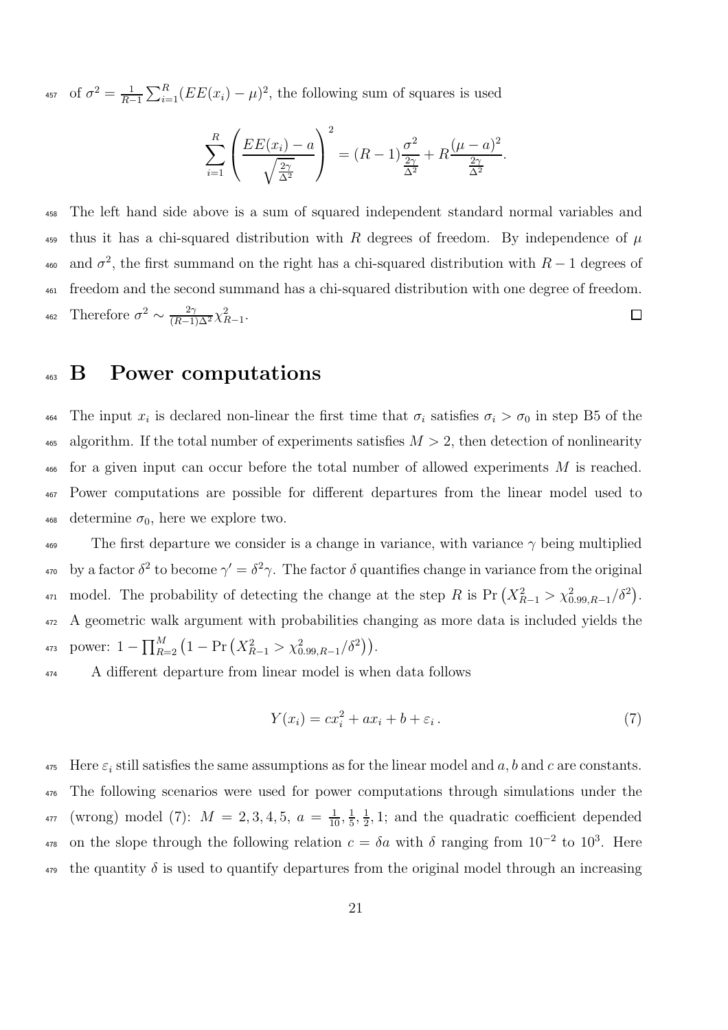<sup>457</sup> of  $\sigma^2 = \frac{1}{R-1} \sum_{i=1}^R (EE(x_i) - \mu)^2$ , the following sum of squares is used

$$
\sum_{i=1}^{R} \left( \frac{EE(x_i) - a}{\sqrt{\frac{2\gamma}{\Delta^2}}} \right)^2 = (R - 1)\frac{\sigma^2}{\frac{2\gamma}{\Delta^2}} + R\frac{(\mu - a)^2}{\frac{2\gamma}{\Delta^2}}.
$$

<sup>458</sup> The left hand side above is a sum of squared independent standard normal variables and <sup>459</sup> thus it has a chi-squared distribution with R degrees of freedom. By independence of  $\mu$ <sup>460</sup> and  $\sigma^2$ , the first summand on the right has a chi-squared distribution with  $R-1$  degrees of <sup>461</sup> freedom and the second summand has a chi-squared distribution with one degree of freedom. 462 Therefore  $\sigma^2 \sim \frac{2\gamma}{(R-1)\Delta^2} \chi^2_{R-1}$ .  $\Box$ 

### <sup>463</sup> B Power computations

464 The input  $x_i$  is declared non-linear the first time that  $\sigma_i$  satisfies  $\sigma_i > \sigma_0$  in step B5 of the 465 algorithm. If the total number of experiments satisfies  $M > 2$ , then detection of nonlinearity  $\frac{466}{466}$  for a given input can occur before the total number of allowed experiments M is reached. <sup>467</sup> Power computations are possible for different departures from the linear model used to 468 determine  $\sigma_0$ , here we explore two.

<sup>469</sup> The first departure we consider is a change in variance, with variance  $\gamma$  being multiplied <sup>470</sup> by a factor δ<sup>2</sup> to become  $\gamma' = \delta^2 \gamma$ . The factor δ quantifies change in variance from the original <sup>471</sup> model. The probability of detecting the change at the step R is Pr  $(X_{R-1}^2 > \chi_{0.99,R-1}^2/\delta^2)$ . <sup>472</sup> A geometric walk argument with probabilities changing as more data is included yields the 473 power:  $1 - \prod_{R=2}^{M} (1 - \Pr(X_{R-1}^2 > \chi_{0.99,R-1}^2 / \delta^2)).$ 

<sup>474</sup> A different departure from linear model is when data follows

$$
Y(x_i) = cx_i^2 + ax_i + b + \varepsilon_i.
$$
\n<sup>(7)</sup>

 $475$  Here  $\varepsilon_i$  still satisfies the same assumptions as for the linear model and a, b and c are constants. <sup>476</sup> The following scenarios were used for power computations through simulations under the (wrong) model (7):  $M = 2, 3, 4, 5, a = \frac{1}{10}, \frac{1}{5}$  $\frac{1}{5}, \frac{1}{2}$ 477 (wrong) model (7):  $M = 2, 3, 4, 5, a = \frac{1}{10}, \frac{1}{5}, \frac{1}{2}, 1$ ; and the quadratic coefficient depended <sup>478</sup> on the slope through the following relation  $c = \delta a$  with  $\delta$  ranging from 10<sup>-2</sup> to 10<sup>3</sup>. Here <sub>479</sub> the quantity  $\delta$  is used to quantify departures from the original model through an increasing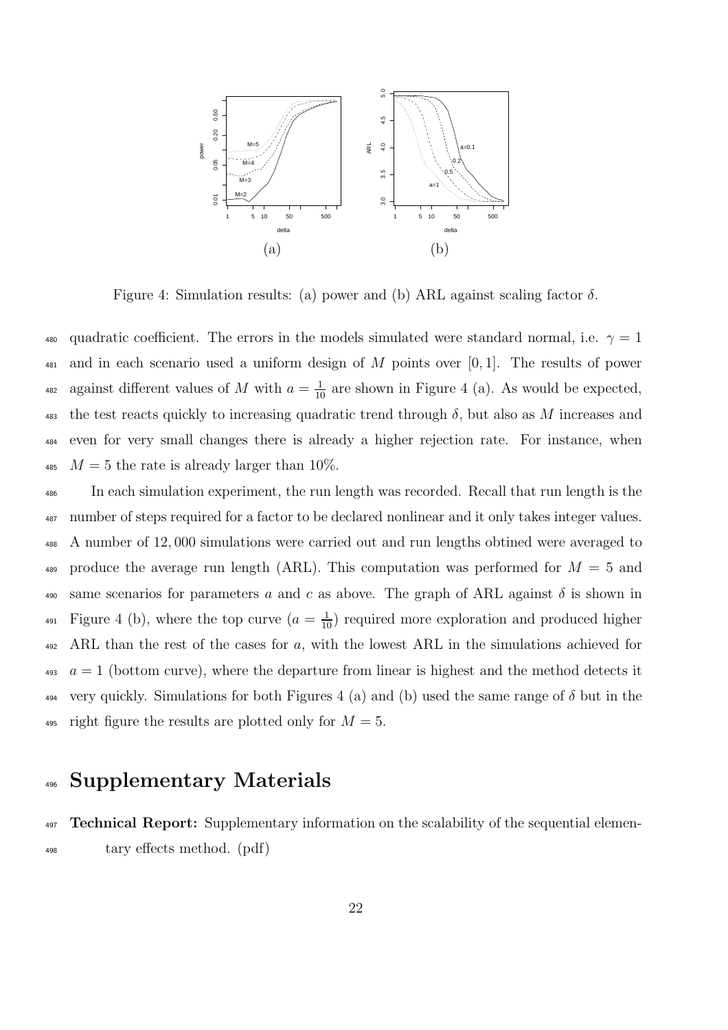

Figure 4: Simulation results: (a) power and (b) ARL against scaling factor  $\delta$ .

480 quadratic coefficient. The errors in the models simulated were standard normal, i.e.  $\gamma = 1$  $\frac{481}{481}$  and in each scenario used a uniform design of M points over [0, 1]. The results of power <sup>482</sup> against different values of M with  $a = \frac{1}{10}$  are shown in Figure 4 (a). As would be expected, 483 the test reacts quickly to increasing quadratic trend through  $\delta$ , but also as M increases and <sup>484</sup> even for very small changes there is already a higher rejection rate. For instance, when 485  $M = 5$  the rate is already larger than 10%.

<sup>486</sup> In each simulation experiment, the run length was recorded. Recall that run length is the <sup>487</sup> number of steps required for a factor to be declared nonlinear and it only takes integer values. <sup>488</sup> A number of 12, 000 simulations were carried out and run lengths obtined were averaged to 489 produce the average run length (ARL). This computation was performed for  $M = 5$  and 490 same scenarios for parameters a and c as above. The graph of ARL against  $\delta$  is shown in <sup>491</sup> Figure 4 (b), where the top curve  $(a = \frac{1}{10})$  required more exploration and produced higher  $492$  ARL than the rest of the cases for a, with the lowest ARL in the simulations achieved for  $a = 1$  (bottom curve), where the departure from linear is highest and the method detects it  $_{494}$  very quickly. Simulations for both Figures 4 (a) and (b) used the same range of  $\delta$  but in the 495 right figure the results are plotted only for  $M = 5$ .

### <sup>496</sup> Supplementary Materials

<sup>497</sup> **Technical Report:** Supplementary information on the scalability of the sequential elemen-<sup>498</sup> tary effects method. (pdf)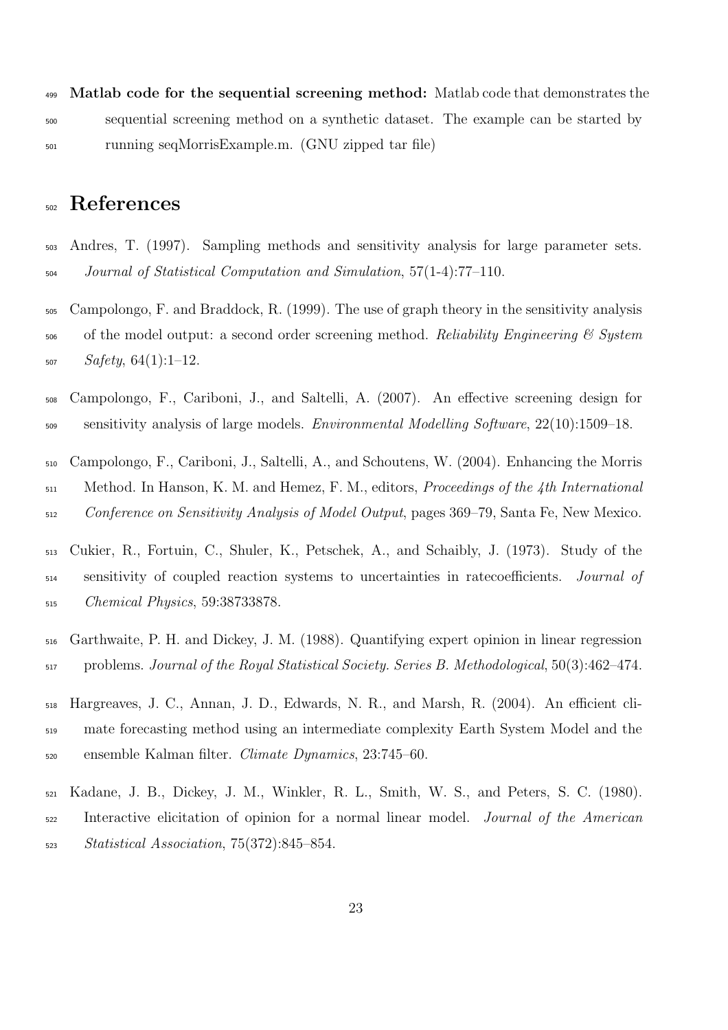499 Matlab code for the sequential screening method: Matlab code that demonstrates the sequential screening method on a synthetic dataset. The example can be started by running seqMorrisExample.m. (GNU zipped tar file)

## References

- Andres, T. (1997). Sampling methods and sensitivity analysis for large parameter sets. Journal of Statistical Computation and Simulation, 57(1-4):77–110.
- Campolongo, F. and Braddock, R. (1999). The use of graph theory in the sensitivity analysis of the model output: a second order screening method. Reliability Engineering & System  $Safety, 64(1):1-12.$
- Campolongo, F., Cariboni, J., and Saltelli, A. (2007). An effective screening design for  $\frac{509}{200}$  sensitivity analysis of large models. *Environmental Modelling Software*, 22(10):1509–18.
- Campolongo, F., Cariboni, J., Saltelli, A., and Schoutens, W. (2004). Enhancing the Morris  $_{511}$  Method. In Hanson, K. M. and Hemez, F. M., editors, *Proceedings of the 4th International* Conference on Sensitivity Analysis of Model Output, pages 369–79, Santa Fe, New Mexico.
- Cukier, R., Fortuin, C., Shuler, K., Petschek, A., and Schaibly, J. (1973). Study of the sensitivity of coupled reaction systems to uncertainties in ratecoefficients. Journal of Chemical Physics, 59:38733878.
- Garthwaite, P. H. and Dickey, J. M. (1988). Quantifying expert opinion in linear regression problems. Journal of the Royal Statistical Society. Series B. Methodological, 50(3):462–474.
- Hargreaves, J. C., Annan, J. D., Edwards, N. R., and Marsh, R. (2004). An efficient cli- mate forecasting method using an intermediate complexity Earth System Model and the ensemble Kalman filter. Climate Dynamics, 23:745–60.
- Kadane, J. B., Dickey, J. M., Winkler, R. L., Smith, W. S., and Peters, S. C. (1980). Interactive elicitation of opinion for a normal linear model. Journal of the American Statistical Association, 75(372):845–854.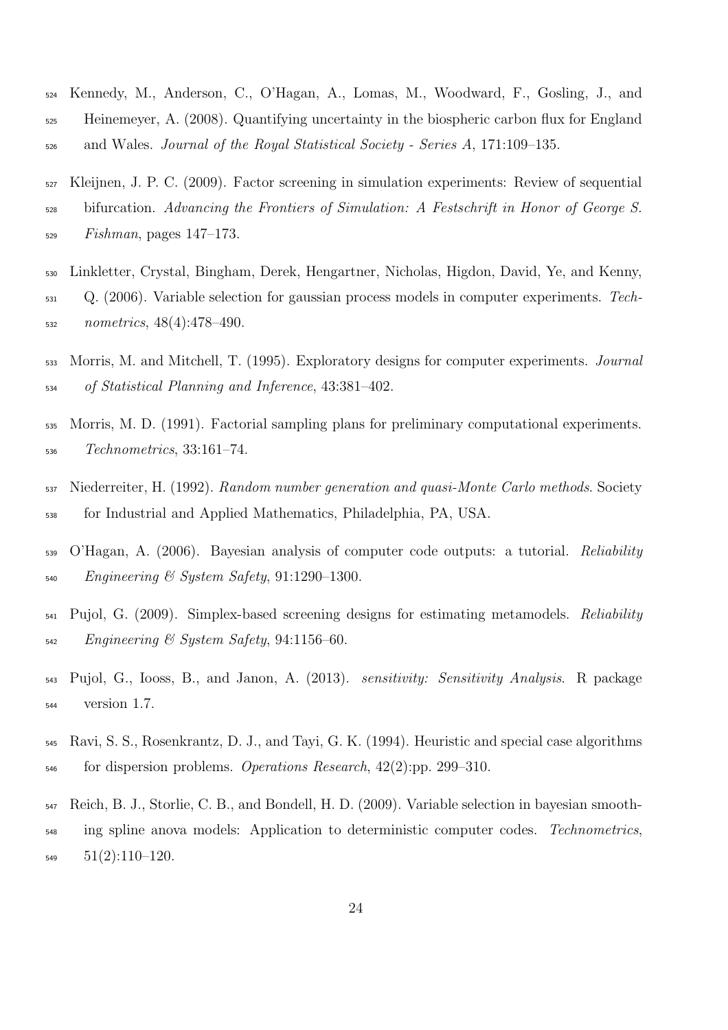- Kennedy, M., Anderson, C., O'Hagan, A., Lomas, M., Woodward, F., Gosling, J., and Heinemeyer, A. (2008). Quantifying uncertainty in the biospheric carbon flux for England and Wales. Journal of the Royal Statistical Society - Series A, 171:109–135.
- Kleijnen, J. P. C. (2009). Factor screening in simulation experiments: Review of sequential bifurcation. Advancing the Frontiers of Simulation: A Festschrift in Honor of George S. Fishman, pages 147–173.
- Linkletter, Crystal, Bingham, Derek, Hengartner, Nicholas, Higdon, David, Ye, and Kenny, Q. (2006). Variable selection for gaussian process models in computer experiments. Tech-nometrics, 48(4):478–490.
- <sub>533</sub> Morris, M. and Mitchell, T. (1995). Exploratory designs for computer experiments. *Journal* of Statistical Planning and Inference, 43:381–402.
- Morris, M. D. (1991). Factorial sampling plans for preliminary computational experiments. Technometrics, 33:161–74.
- Niederreiter, H. (1992). Random number generation and quasi-Monte Carlo methods. Society for Industrial and Applied Mathematics, Philadelphia, PA, USA.
- O'Hagan, A. (2006). Bayesian analysis of computer code outputs: a tutorial. Reliability Engineering & System Safety, 91:1290-1300.
- $_{541}$  Pujol, G. (2009). Simplex-based screening designs for estimating metamodels. Reliability Engineering & System Safety, 94:1156-60.
- Pujol, G., Iooss, B., and Janon, A. (2013). sensitivity: Sensitivity Analysis. R package version 1.7.
- Ravi, S. S., Rosenkrantz, D. J., and Tayi, G. K. (1994). Heuristic and special case algorithms for dispersion problems. *Operations Research*,  $42(2)$ :pp. 299–310.
- Reich, B. J., Storlie, C. B., and Bondell, H. D. (2009). Variable selection in bayesian smooth-<sub>548</sub> ing spline anova models: Application to deterministic computer codes. Technometrics,  $51(2):110-120$ .